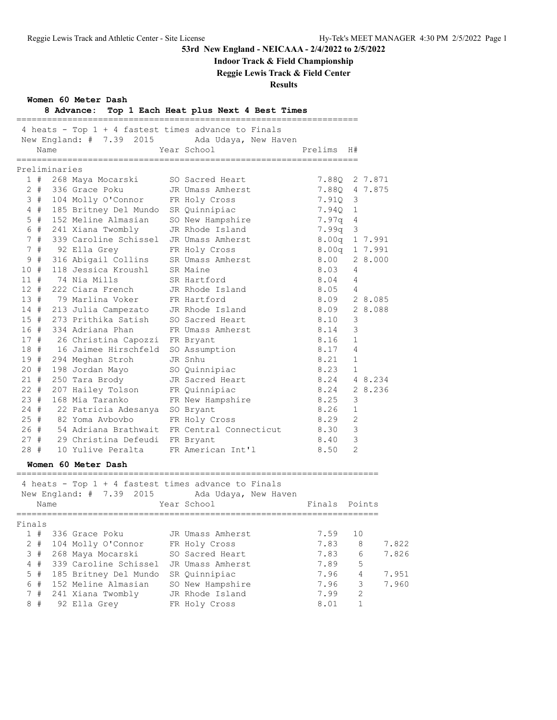### **Indoor Track & Field Championship**

**Reggie Lewis Track & Field Center**

**Results**

|               | Name |                                          | 4 heats - Top 1 + 4 fastest times advance to Finals<br>New England: # 7.39 2015 Ada Udaya, New Haven<br>Year School | Prelims H#   |                         |               |
|---------------|------|------------------------------------------|---------------------------------------------------------------------------------------------------------------------|--------------|-------------------------|---------------|
| Preliminaries |      |                                          |                                                                                                                     |              |                         |               |
|               |      | 1 # 268 Maya Mocarski                    | SO Sacred Heart                                                                                                     |              |                         | 7.880 2 7.871 |
|               |      | 2 # 336 Grace Poku                       | JR Umass Amherst                                                                                                    |              |                         | 7.88Q 4 7.875 |
| 3#            |      | 104 Molly O'Connor                       | FR Holy Cross                                                                                                       | 7.910 3      |                         |               |
| 4#            |      | 185 Britney Del Mundo                    | SR Quinnipiac                                                                                                       | 7.940 1      |                         |               |
| $5$ #         |      | 152 Meline Almasian                      | SO New Hampshire                                                                                                    | 7.97q 4      |                         |               |
| 6#            |      | 241 Xiana Twombly                        | JR Rhode Island                                                                                                     | $7.99q$ 3    |                         |               |
| 7#            |      | 339 Caroline Schissel                    | JR Umass Amherst                                                                                                    |              |                         | 8.00q 1 7.991 |
| 7#            |      | 92 Ella Grey                             | FR Holy Cross                                                                                                       |              |                         | 8.00q 1 7.991 |
| 9#            |      | 316 Abigail Collins                      | SR Umass Amherst                                                                                                    | 8.00         |                         | 2 8.000       |
| 10#           |      | 118 Jessica Kroushl                      | SR Maine                                                                                                            | 8.03         | -4                      |               |
| $11$ #        |      | 74 Nia Mills                             | SR Hartford                                                                                                         | 8.04         | $\overline{4}$          |               |
| 12#           |      | 222 Ciara French                         | JR Rhode Island                                                                                                     | 8.05         | $\overline{4}$          |               |
| 13#           |      | 79 Marlina Voker                         | FR Hartford                                                                                                         | 8.09 2 8.085 |                         |               |
| 14#           |      | 213 Julia Campezato                      | JR Rhode Island                                                                                                     | 8.09         |                         | 2 8.088       |
| 15#           |      | 273 Prithika Satish                      | SO Sacred Heart                                                                                                     | 8.10         | 3                       |               |
| 16#           |      | 334 Adriana Phan                         | FR Umass Amherst                                                                                                    | 8.14         | 3                       |               |
| 17#           |      | 26 Christina Capozzi FR Bryant           |                                                                                                                     | 8.16         | 1                       |               |
|               |      | 18 # 16 Jaimee Hirschfeld                | SO Assumption                                                                                                       | 8.17         | $\overline{4}$          |               |
|               |      | 19 # 294 Meghan Stroh                    | JR Snhu                                                                                                             | 8.21         | 1                       |               |
| 20 #          |      | 198 Jordan Mayo                          | SO Quinnipiac                                                                                                       | 8.23         | 1                       |               |
| 21 #          |      | 250 Tara Brody                           | JR Sacred Heart                                                                                                     | 8.24         |                         | 4 8.234       |
| $22 +$        |      | 207 Hailey Tolson FR Quinnipiac          |                                                                                                                     | 8.24         |                         | 2 8.236       |
| 23#           |      | 168 Mia Taranko                          | FR New Hampshire                                                                                                    | 8.25         | 3                       |               |
| 24 #          |      | 22 Patricia Adesanya SO Bryant           |                                                                                                                     | 8.26         | 1                       |               |
| 25#           |      | 82 Yoma Avbovbo                          | FR Holy Cross                                                                                                       | 8.29         | - 2                     |               |
| 26 #          |      |                                          | 54 Adriana Brathwait FR Central Connecticut                                                                         | 8.30         | $\overline{\mathbf{3}}$ |               |
| 27#           |      | 29 Christina Defeudi FR Bryant           |                                                                                                                     | 8.40         | $\mathbf{3}$            |               |
| 28 #          |      | 10 Yulive Peralta<br>Women 60 Meter Dash | FR American Int'l                                                                                                   | 8.50         | 2                       |               |
|               |      |                                          | 4 heats - Top 1 + 4 fastest times advance to Finals                                                                 |              |                         |               |
|               |      |                                          | New England: # 7.39 2015 Ada Udaya, New Haven                                                                       |              |                         |               |
|               |      | ==========================               | Name The Year School The Finals Points                                                                              |              |                         |               |
| Finals        |      |                                          |                                                                                                                     |              |                         |               |
| 1#            |      | 336 Grace Poku                           | JR Umass Amherst                                                                                                    | 7.59         | 10                      |               |
| 2#            |      | 104 Molly O'Connor                       | FR Holy Cross                                                                                                       | 7.83         |                         | 8<br>7.822    |
| 3#            |      | 268 Maya Mocarski                        | SO Sacred Heart                                                                                                     | 7.83         |                         | 6<br>7.826    |
| 4#            |      | 339 Caroline Schissel                    | JR Umass Amherst                                                                                                    | 7.89         |                         | 5             |
| $5$ #         |      | 185 Britney Del Mundo                    | SR Quinnipiac                                                                                                       | 7.96         |                         | 4<br>7.951    |
| 6 #           |      | 152 Meline Almasian                      | SO New Hampshire                                                                                                    | 7.96         |                         | 3<br>7.960    |

 7 # 241 Xiana Twombly JR Rhode Island 7.99 2 8 # 92 Ella Grey FR Holy Cross 8.01 1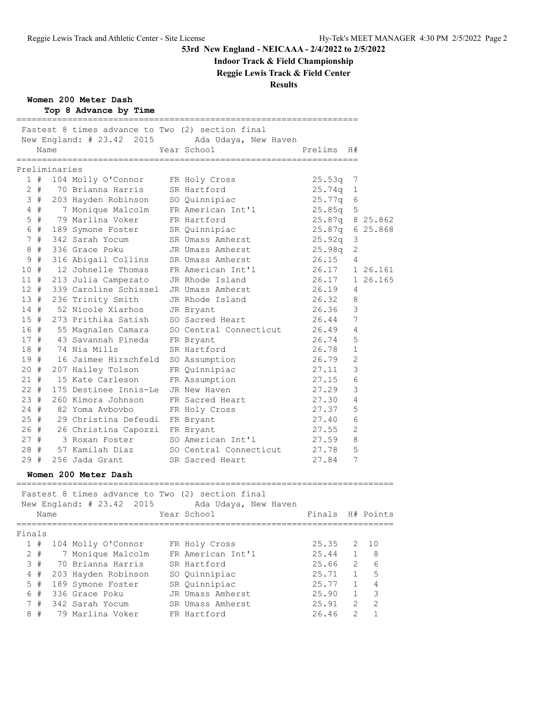# **Indoor Track & Field Championship**

**Reggie Lewis Track & Field Center**

### **Results**

**Women 200 Meter Dash**

|           |       | Name          | Fastest 8 times advance to Two (2) section final<br>New England: # 23.42 2015 | Ada Udaya, New Haven<br>Year School | Prelims | H#             |           |
|-----------|-------|---------------|-------------------------------------------------------------------------------|-------------------------------------|---------|----------------|-----------|
|           |       | Preliminaries |                                                                               |                                     |         |                |           |
|           | 1#    |               | 104 Molly O'Connor                                                            | FR Holy Cross                       | 25.53q  | 7              |           |
|           | $2 +$ |               | 70 Brianna Harris                                                             | SR Hartford                         | 25.74q  | 1              |           |
|           | 3#    |               | 203 Hayden Robinson                                                           | SO Quinnipiac                       | 25.77q  | 6              |           |
|           | $4$ # |               | 7 Monique Malcolm                                                             | FR American Int'l                   | 25.85q  | 5              |           |
|           | $5$ # |               | 79 Marlina Voker                                                              | FR Hartford                         | 25.87q  | 8              | 25.862    |
|           | 6#    |               | 189 Symone Foster                                                             | SR Quinnipiac                       | 25.87q  | 6              | 25.868    |
|           | 7#    |               | 342 Sarah Yocum                                                               | SR Umass Amherst                    | 25.92q  | 3              |           |
| 8         | #     |               | 336 Grace Poku                                                                | JR Umass Amherst                    | 25.98q  | 2              |           |
| 9         | #     |               | 316 Abigail Collins                                                           | SR Umass Amherst                    | 26.15   | 4              |           |
| 10#       |       |               | 12 Johnelle Thomas                                                            | FR American Int'l                   | 26.17   |                | 1 26.161  |
| 11#       |       |               | 213 Julia Campezato                                                           | JR Rhode Island                     | 26.17   |                | 1 26.165  |
| $12 +$    |       |               | 339 Caroline Schissel                                                         | JR Umass Amherst                    | 26.19   | 4              |           |
| 13#       |       |               | 236 Trinity Smith                                                             | JR Rhode Island                     | 26.32   | 8              |           |
| 14#       |       |               | 52 Nicole Xiarhos                                                             | JR Bryant                           | 26.36   | 3              |           |
| 15#       |       |               | 273 Prithika Satish                                                           | SO Sacred Heart                     | 26.44   | 7              |           |
| 16#       |       |               | 55 Magnalen Camara                                                            | SO Central Connecticut              | 26.49   | 4              |           |
| 17#       |       |               | 43 Savannah Pineda                                                            | FR Bryant                           | 26.74   | 5              |           |
| 18 #      |       |               | 74 Nia Mills                                                                  | SR Hartford                         | 26.78   | 1              |           |
| 19#       |       |               | 16 Jaimee Hirschfeld                                                          | SO Assumption                       | 26.79   | $\overline{2}$ |           |
| 20#       |       |               | 207 Hailey Tolson                                                             | FR Quinnipiac                       | 27.11   | 3              |           |
| 21#       |       |               | 15 Kate Carleson                                                              | FR Assumption                       | 27.15   | 6              |           |
| $22 \neq$ |       |               | 175 Destinee Innis-Le                                                         | JR New Haven                        | 27.29   | 3              |           |
| 23#       |       |               | 260 Kimora Johnson                                                            | FR Sacred Heart                     | 27.30   | 4              |           |
| $24 +$    |       |               | 82 Yoma Avbovbo                                                               | FR Holy Cross                       | 27.37   | 5              |           |
| 25#       |       |               | 29 Christina Defeudi                                                          | FR Bryant                           | 27.40   | 6              |           |
| 26#       |       |               | 26 Christina Capozzi FR Bryant                                                |                                     | 27.55   | 2              |           |
| 27#       |       |               | 3 Roxan Foster                                                                | SO American Int'l                   | 27.59   | 8              |           |
| 28 #      |       |               | 57 Kamilah Diaz                                                               | SO Central Connecticut              | 27.78   | 5              |           |
| 29#       |       |               | 256 Jada Grant                                                                | SR Sacred Heart                     | 27.84   | 7              |           |
|           |       |               | Women 200 Meter Dash                                                          |                                     |         |                |           |
|           |       |               | Fastest 8 times advance to Two (2) section final                              |                                     |         |                |           |
|           |       | Name          | New England: $#23.42$<br>2015                                                 | Ada Udaya, New Haven<br>Year School | Finals  |                | H# Points |

| Finals |       |                     |                   |       |               |              |  |
|--------|-------|---------------------|-------------------|-------|---------------|--------------|--|
|        | #     | 104 Molly O'Connor  | FR Holy Cross     | 25.35 |               | $2 \quad 10$ |  |
|        | $2 +$ | 7 Monique Malcolm   | FR American Int'l | 25.44 |               | -8           |  |
|        | 3#    | 70 Brianna Harris   | SR Hartford       | 25.66 | $\mathcal{P}$ | 6            |  |
| 4      | #     | 203 Hayden Robinson | SO Quinnipiac     | 25.71 |               | 5            |  |
|        | $5$ # | 189 Symone Foster   | SR Ouinnipiac     | 25.77 |               | 4            |  |
| 6      | #     | 336 Grace Poku      | JR Umass Amherst  | 25.90 |               | 3            |  |
|        | 7#    | 342 Sarah Yocum     | SR Umass Amherst  | 25.91 | $\mathcal{P}$ | 2            |  |
| 8      | #     | 79 Marlina Voker    | FR Hartford       | 26.46 | っ             |              |  |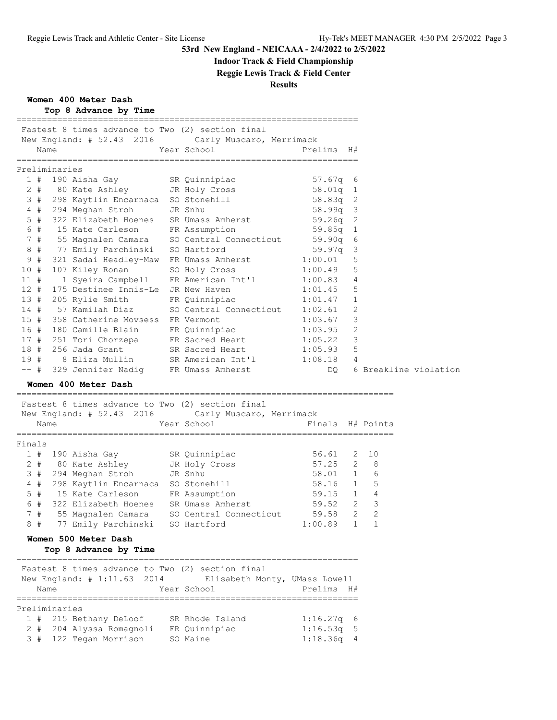# **Indoor Track & Field Championship**

**Reggie Lewis Track & Field Center**

### **Results**

**Women 400 Meter Dash**

|  |  | Top 8 Advance by Time |  |  |
|--|--|-----------------------|--|--|
|--|--|-----------------------|--|--|

|               |      | Fastest 8 times advance to Two (2) section final                                                                                              | New England: # 52.43 2016 Carly Muscaro, Merrimack                                                                                                               |                                  |    |              |
|---------------|------|-----------------------------------------------------------------------------------------------------------------------------------------------|------------------------------------------------------------------------------------------------------------------------------------------------------------------|----------------------------------|----|--------------|
|               | Name |                                                                                                                                               | Year School <a> Prelims H#</a>                                                                                                                                   |                                  |    |              |
| Preliminaries |      |                                                                                                                                               |                                                                                                                                                                  |                                  |    |              |
|               |      | 1 # 190 Aisha Gay SR Quinnipiac<br>2 # 80 Kate Ashley JR Holy Cross<br>3 # 298 Kaytlin Encarnaca SO Stonehill<br>4 # 294 Meghan Stroh JR Snhu |                                                                                                                                                                  | 57.67q 6<br>58.01q 1<br>58.83q 2 |    |              |
|               |      |                                                                                                                                               |                                                                                                                                                                  |                                  |    |              |
|               |      |                                                                                                                                               |                                                                                                                                                                  |                                  |    |              |
|               |      |                                                                                                                                               |                                                                                                                                                                  | 58.99q 3                         |    |              |
| $5$ #         |      |                                                                                                                                               | 322 Elizabeth Hoenes SR Umass Amherst 59.26q 2                                                                                                                   |                                  |    |              |
| 6 #           |      | 15 Kate Carleson FR Assumption                                                                                                                |                                                                                                                                                                  | 59.85q 1                         |    |              |
|               |      |                                                                                                                                               |                                                                                                                                                                  |                                  |    |              |
|               |      |                                                                                                                                               | 7 # 55 Magnalen Camara SO Central Connecticut 59.90q 6<br>8 # 77 Emily Parchinski SO Hartford 59.97q 3                                                           |                                  |    |              |
| 9#            |      |                                                                                                                                               | 321 Sadai Headley-Maw FR Umass Amherst 1:00.01                                                                                                                   |                                  | 5  |              |
| 10 #          |      |                                                                                                                                               | 107 Kiley Ronan SO Holy Cross 1:00.49                                                                                                                            |                                  | 5  |              |
| 11 #          |      |                                                                                                                                               | 1 Syeira Campbell FR American Int'l 1:00.83 4                                                                                                                    |                                  |    |              |
| 12#           |      |                                                                                                                                               | 175 Destinee Innis-Le JR New Haven 1:01.45                                                                                                                       |                                  | 5  |              |
|               |      |                                                                                                                                               |                                                                                                                                                                  |                                  | 1  |              |
|               |      |                                                                                                                                               | 13 # 205 Rylie Smith FR Quinnipiac 1:01.47<br>14 # 57 Kamilah Diaz SO Central Connecticut 1:02.61<br>15 # 358 Catherine Movsess FR Vermont 1:03.67               |                                  | 2  |              |
|               |      |                                                                                                                                               |                                                                                                                                                                  |                                  | 3  |              |
| 16 #          |      |                                                                                                                                               | 358 Catherine Movsess FR Vermont 1:03.67<br>180 Camille Blain FR Quinnipiac 1:03.95                                                                              |                                  | 2  |              |
|               |      |                                                                                                                                               | 17 # 251 Tori Chorzepa FR Sacred Heart 1:05.22                                                                                                                   |                                  | 3  |              |
|               |      |                                                                                                                                               | 18 # 256 Jada Grant SR Sacred Heart 1:05.93                                                                                                                      |                                  | -5 |              |
|               |      |                                                                                                                                               |                                                                                                                                                                  |                                  |    |              |
|               |      |                                                                                                                                               | 19 # 8 Eliza Mullin SR American Int'l 1:08.18 4<br>-- # 329 Jennifer Nadig FR Umass Amherst DQ 6 Breakline violation<br>-- # 329 Jennifer Nadig FR Umass Amherst |                                  |    |              |
|               |      | Women 400 Meter Dash                                                                                                                          |                                                                                                                                                                  |                                  |    |              |
|               |      |                                                                                                                                               |                                                                                                                                                                  |                                  |    |              |
|               |      | Fastest 8 times advance to Two (2) section final                                                                                              |                                                                                                                                                                  |                                  |    |              |
|               |      |                                                                                                                                               | New England: # 52.43 2016 Carly Muscaro, Merrimack                                                                                                               |                                  |    |              |
|               | Name |                                                                                                                                               | Year School Tinals H# Points                                                                                                                                     |                                  |    |              |
| Finals        |      |                                                                                                                                               |                                                                                                                                                                  |                                  |    |              |
|               |      |                                                                                                                                               | 1 # 190 Aisha Gay SR Quinnipiac 56.61                                                                                                                            |                                  |    | $2 \quad 10$ |
|               |      |                                                                                                                                               | 2 # 80 Kate Ashley JR Holy Cross 57.25 2 8                                                                                                                       |                                  |    |              |
|               |      |                                                                                                                                               |                                                                                                                                                                  |                                  |    |              |
|               |      |                                                                                                                                               | 3 # 294 Meghan Stroh JR Snhu 58.01 1 6<br>4 # 298 Kaytlin Encarnaca SO Stonehill 58.16 1 5<br>5 # 15 Kate Carleson FR Assumption 59.15 1 4                       |                                  |    |              |
|               |      |                                                                                                                                               |                                                                                                                                                                  |                                  |    |              |
| 6 #           |      |                                                                                                                                               | 322 Elizabeth Hoenes SR Umass Amherst 59.52 2 3                                                                                                                  |                                  |    |              |
| 7#            |      |                                                                                                                                               | 55 Magnalen Camara SO Central Connecticut 59.58 2 2                                                                                                              |                                  |    |              |
|               |      | 8 # 77 Emily Parchinski SO Hartford                                                                                                           |                                                                                                                                                                  | $1:00.89$ 1 1                    |    |              |
|               |      |                                                                                                                                               |                                                                                                                                                                  |                                  |    |              |
|               |      | Women 500 Meter Dash<br>Top 8 Advance by Time                                                                                                 |                                                                                                                                                                  |                                  |    |              |
|               |      |                                                                                                                                               |                                                                                                                                                                  |                                  |    |              |
|               |      | Fastest 8 times advance to Two (2) section final                                                                                              |                                                                                                                                                                  |                                  |    |              |
|               |      | New England: # 1:11.63 2014                                                                                                                   | Elisabeth Monty, UMass Lowell                                                                                                                                    |                                  |    |              |
|               | Name |                                                                                                                                               | Year School                                                                                                                                                      | Prelims H#                       |    |              |
|               |      |                                                                                                                                               |                                                                                                                                                                  |                                  |    |              |
| Preliminaries |      |                                                                                                                                               |                                                                                                                                                                  |                                  |    |              |
|               |      | 1 # 215 Bethany DeLoof                                                                                                                        | SR Rhode Island                                                                                                                                                  | $1:16.27q$ 6                     |    |              |
| 2#            |      | 204 Alyssa Romagnoli FR Quinnipiac                                                                                                            |                                                                                                                                                                  | 1:16.53q                         | 5  |              |
| 3#            |      | 122 Tegan Morrison                                                                                                                            | SO Maine                                                                                                                                                         | 1:18.36q                         | 4  |              |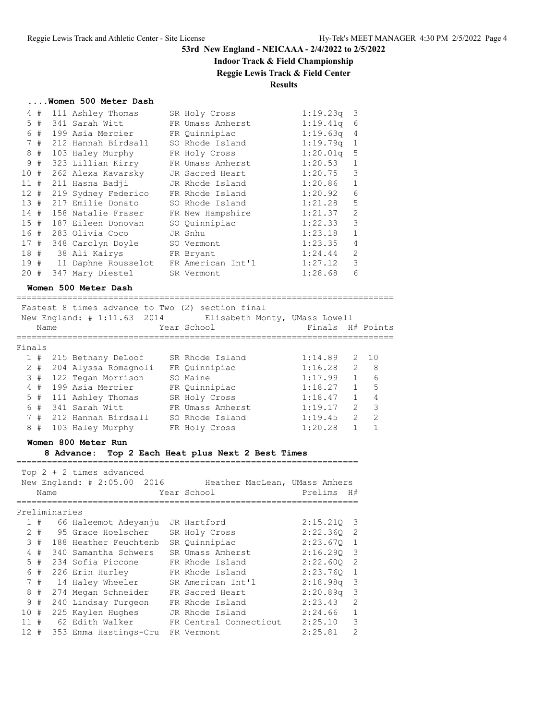# **Indoor Track & Field Championship**

### **Reggie Lewis Track & Field Center**

### **Results**

#### **....Women 500 Meter Dash**

|        | 4#    | 111 Ashley Thomas       | SR Holy Cross     | $1:19.23q$ 3 |                |
|--------|-------|-------------------------|-------------------|--------------|----------------|
|        | $5$ # | 341 Sarah Witt          | FR Umass Amherst  | 1:19.41q     | 6              |
|        | 6 #   | 199 Asia Mercier        | FR Quinnipiac     | 1:19.63q     | 4              |
|        | 7#    | 212 Hannah Birdsall     | SO Rhode Island   | $1:19.79q$ 1 |                |
|        | 8#    | 103 Haley Murphy        | FR Holy Cross     | 1:20.01q     | 5              |
|        | 9#    | 323 Lillian Kirry       | FR Umass Amherst  | 1:20.53      | $\mathbf{1}$   |
| 10#    |       | 262 Alexa Kavarsky      | JR Sacred Heart   | 1:20.75      | 3              |
| 11#    |       | 211 Hasna Badji         | JR Rhode Island   | 1:20.86      | $\mathbf{1}$   |
| 12#    |       | 219 Sydney Federico     | FR Rhode Island   | 1:20.92      | $\epsilon$     |
| 13#    |       | 217 Emilie Donato       | SO Rhode Island   | 1:21.28      | 5              |
| 14#    |       | 158 Natalie Fraser      | FR New Hampshire  | 1:21.37      | $\overline{2}$ |
|        |       | 15 # 187 Eileen Donovan | SO Quinnipiac     | 1:22.33      | 3              |
| 16#    |       | 283 Olivia Coco         | JR Snhu           | 1:23.18      | $\mathbf{1}$   |
| 17#    |       | 348 Carolyn Doyle       | SO Vermont        | 1:23.35      | $\overline{4}$ |
| 18#    |       | 38 Ali Kairys           | FR Bryant         | 1:24.44      | 2              |
| 19#    |       | 11 Daphne Rousselot     | FR American Int'l | 1:27.12      | 3              |
| $20 +$ |       | 347 Mary Diestel        | SR Vermont        | 1:28.68      | 6              |

### **Women 500 Meter Dash**

|              | Name | Fastest 8 times advance to Two (2) section final<br>New England: # 1:11.63 2014 | Elisabeth Monty, UMass Lowell<br>Year School | Finals H# Points |                |               |
|--------------|------|---------------------------------------------------------------------------------|----------------------------------------------|------------------|----------------|---------------|
| Finals       |      |                                                                                 |                                              |                  |                |               |
| $\mathbf{1}$ | #    | 215 Bethany DeLoof                                                              | SR Rhode Island                              | 1:14.89          |                | 2, 10         |
| $2 +$        |      | 204 Alyssa Romagnoli                                                            | FR Ouinnipiac                                | 1:16.28          | 2              | - 8           |
|              | 3#   | 122 Tegan Morrison                                                              | SO Maine                                     | 1:17.99          | $\mathbf{1}$   | 6             |
|              | 4#   | 199 Asia Mercier                                                                | FR Quinnipiac                                | 1:18.27          | $\mathbf{1}$   | 5             |
| $5$ #        |      | 111 Ashley Thomas                                                               | SR Holy Cross                                | 1:18.47          | $\mathbf{1}$   | 4             |
| 6#           |      | 341 Sarah Witt                                                                  | FR Umass Amherst                             | 1:19.17          | $\mathfrak{D}$ | 3             |
|              | 7#   | 212 Hannah Birdsall                                                             | SO Rhode Island                              | 1:19.45          | $\mathcal{P}$  | $\mathcal{P}$ |
| 8            | #    | 103 Haley Murphy                                                                | FR Holy Cross                                | 1:20.28          |                |               |

==========================================================================

#### **Women 800 Meter Run**

#### **8 Advance: Top 2 Each Heat plus Next 2 Best Times**

===================================================================

### Top 2 + 2 times advanced

|               | Name |  |                                  |  | New England: # 2:05.00 2016 Heather MacLean, UMass Amhers<br>Year School | Prelims      | H#             |  |  |  |
|---------------|------|--|----------------------------------|--|--------------------------------------------------------------------------|--------------|----------------|--|--|--|
| Preliminaries |      |  |                                  |  |                                                                          |              |                |  |  |  |
|               |      |  |                                  |  |                                                                          |              |                |  |  |  |
|               | 1#   |  | 66 Haleemot Adeyanju             |  | JR Hartford                                                              | $2:15.210$ 3 |                |  |  |  |
|               |      |  | 2 # 95 Grace Hoelscher           |  | SR Holy Cross                                                            | 2:22.360 2   |                |  |  |  |
|               | 3#   |  | 188 Heather Feuchtenb            |  | SR Ouinnipiac                                                            | 2:23.670 1   |                |  |  |  |
|               | 4#   |  | 340 Samantha Schwers             |  | SR Umass Amherst                                                         | 2:16.290 3   |                |  |  |  |
|               | 5#   |  | 234 Sofia Piccone                |  | FR Rhode Island                                                          | 2:22.6002    |                |  |  |  |
|               | 6 #  |  | 226 Erin Hurley                  |  | FR Rhode Island                                                          | 2:23.760     | 1              |  |  |  |
|               | 7#   |  | 14 Haley Wheeler                 |  | SR American Int'l                                                        | $2:18.98q$ 3 |                |  |  |  |
|               | 8#   |  | 274 Megan Schneider              |  | FR Sacred Heart                                                          | $2:20.89$ q  | $\mathcal{E}$  |  |  |  |
|               | 9#   |  | 240 Lindsay Turgeon              |  | FR Rhode Island                                                          | 2:23.43      | $\overline{2}$ |  |  |  |
| 10#           |      |  | 225 Kaylen Hughes                |  | JR Rhode Island                                                          | 2:24.66      | $\mathbf{1}$   |  |  |  |
| 11#           |      |  | 62 Edith Walker                  |  | FR Central Connecticut                                                   | 2:25.10      | 3              |  |  |  |
| $12 +$        |      |  | 353 Emma Hastings-Cru FR Vermont |  |                                                                          | 2:25.81      | $\mathcal{L}$  |  |  |  |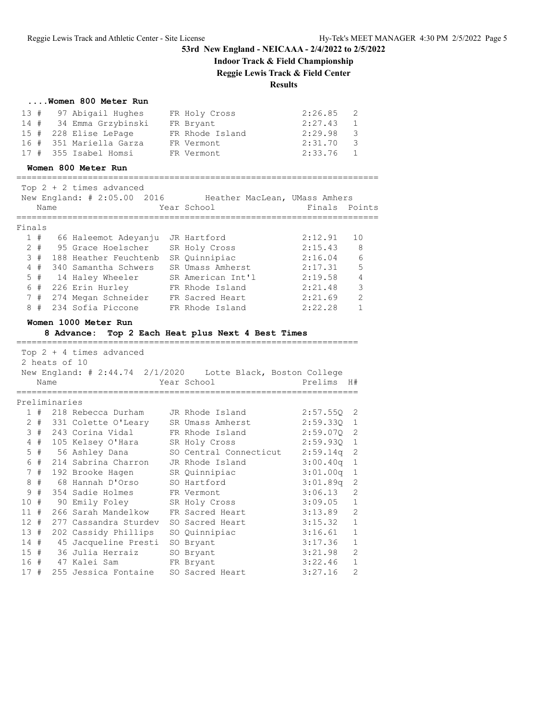# **Indoor Track & Field Championship**

**Reggie Lewis Track & Field Center**

### **Results**

=======================================================================

| Women 800 Meter Run |  |  |  |  |  |
|---------------------|--|--|--|--|--|
|---------------------|--|--|--|--|--|

| 13 # 97 Abigail Hughes  | FR Holy Cross   | 2:26.85 | $\overline{2}$ |
|-------------------------|-----------------|---------|----------------|
| 14 # 34 Emma Grzybinski | FR Bryant       | 2:27.43 | $\mathbf{1}$   |
| 15 # 228 Elise LePage   | FR Rhode Island | 2:29.98 | $\mathbf{3}$   |
| 16 # 351 Mariella Garza | FR Vermont      | 2:31.70 | $\mathcal{S}$  |
| 17 # 355 Isabel Homsi   | FR Vermont      | 2:33.76 | $\sim$ 1       |

#### **Women 800 Meter Run**

|        | Name  | Top $2 + 2$ times advanced<br>New England: # 2:05.00 2016 | Heather MacLean, UMass Amhers<br>Year School | Finals Points |                |
|--------|-------|-----------------------------------------------------------|----------------------------------------------|---------------|----------------|
| Finals |       |                                                           |                                              |               |                |
| 1#     |       | 66 Haleemot Adeyanju                                      | JR Hartford                                  | 2:12.91       | 10             |
|        | $2 +$ | 95 Grace Hoelscher                                        | SR Holy Cross                                | 2:15.43       | 8              |
| 3#     |       | 188 Heather Feuchtenb                                     | SR Quinnipiac                                | 2:16.04       | 6              |
|        | 4#    | -340 Samantha Schwers                                     | SR Umass Amherst                             | 2:17.31       | 5              |
|        | 5#    | 14 Haley Wheeler                                          | SR American Int'l                            | 2:19.58       | $\overline{4}$ |
| 6      | #     | 226 Erin Hurley                                           | FR Rhode Island                              | 2:21.48       | 3              |
|        | 7#    | 274 Megan Schneider                                       | FR Sacred Heart                              | 2:21.69       | $\mathcal{L}$  |
| 8      | #     | 234 Sofia Piccone                                         | FR Rhode Island                              | 2:22.28       |                |

### **Women 1000 Meter Run**

# **8 Advance: Top 2 Each Heat plus Next 4 Best Times**

|     |       |               | Top $2 + 4$ times advanced                                     |                 |              |                |
|-----|-------|---------------|----------------------------------------------------------------|-----------------|--------------|----------------|
|     |       | 2 heats of 10 |                                                                |                 |              |                |
|     |       |               | New England: # 2:44.74 2/1/2020    Lotte Black, Boston College |                 |              |                |
|     |       | Name          |                                                                | Year School     | Prelims H#   |                |
|     |       |               |                                                                |                 |              |                |
|     |       | Preliminaries |                                                                |                 |              |                |
|     | 1#    |               | 218 Rebecca Durham JR Rhode Island                             |                 | $2:57.55Q$ 2 |                |
|     |       |               | 2 # 331 Colette O'Leary SR Umass Amherst                       |                 | 2:59.330 1   |                |
|     | 3#    |               | 243 Corina Vidal        FR Rhode Island                        |                 | 2:59.070 2   |                |
|     | $4$ # |               | 105 Kelsey O'Hara SR Holy Cross                                |                 | 2:59.930 1   |                |
|     | $5$ # |               | 56 Ashley Dana         SO Central Connecticut                  |                 | $2:59.14q$ 2 |                |
|     | 6#    |               | 214 Sabrina Charron JR Rhode Island                            |                 | $3:00.40q$ 1 |                |
|     | 7#    |               | 192 Brooke Hagen SR Quinnipiac                                 |                 | 3:01.00q     | $\mathbf{1}$   |
|     | 8#    |               | 68 Hannah D'Orso     SO Hartford                               |                 | 3:01.89q     | 2              |
|     | 9#    |               | 354 Sadie Holmes FR Vermont                                    |                 | 3:06.13      | $\mathfrak{D}$ |
| 10# |       |               | 90 Emily Foley         SR Holy Cross                           |                 | 3:09.05      | $\mathbf{1}$   |
| 11# |       |               | 266 Sarah Mandelkow FR Sacred Heart                            |                 | 3:13.89      | $\overline{2}$ |
| 12# |       |               | 277 Cassandra Sturdey SO Sacred Heart                          |                 | 3:15.32      | $\mathbf{1}$   |
| 13# |       |               | 202 Cassidy Phillips                                           | SO Quinnipiac   | 3:16.61      | $\mathbf{1}$   |
| 14# |       |               | 45 Jacqueline Presti                                           | SO Bryant       | 3:17.36      | $\mathbf{1}$   |
| 15# |       |               | 36 Julia Herraiz                                               | SO Bryant       | 3:21.98      | $\overline{2}$ |
| 16# |       |               | 47 Kalei Sam                                                   | FR Bryant       | 3:22.46      | $\mathbf{1}$   |
| 17# |       |               | 255 Jessica Fontaine                                           | SO Sacred Heart | 3:27.16      | $\overline{2}$ |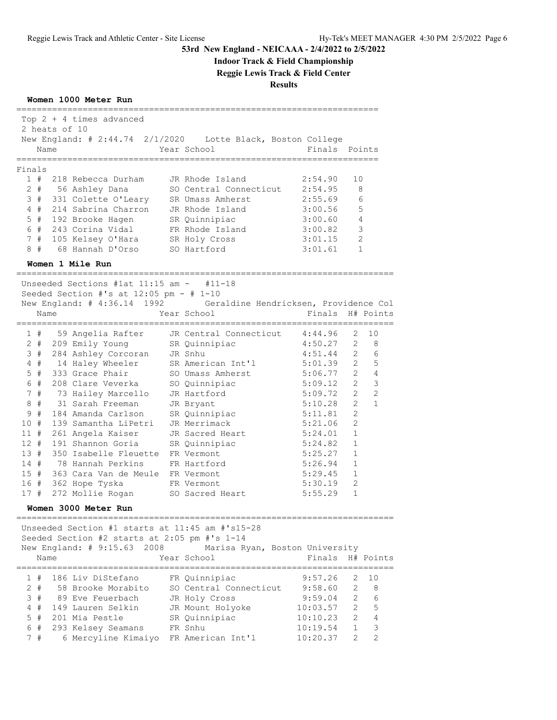# **Indoor Track & Field Championship**

**Reggie Lewis Track & Field Center**

**Results**

**Women 1000 Meter Run**

|                 |       |               | Top $2 + 4$ times advanced                      |                                                                   |                                  |                |                |
|-----------------|-------|---------------|-------------------------------------------------|-------------------------------------------------------------------|----------------------------------|----------------|----------------|
|                 |       | 2 heats of 10 |                                                 |                                                                   |                                  |                |                |
|                 | Name  |               | New England: # 2:44.74 2/1/2020                 | Lotte Black, Boston College<br>Year School                        | Finals Points                    |                |                |
|                 |       | ===========   |                                                 |                                                                   | :==================              |                |                |
| Finals          |       |               |                                                 |                                                                   |                                  |                |                |
|                 | 1#    |               | 218 Rebecca Durham                              | JR Rhode Island                                                   | 2:54.90                          | 10             |                |
|                 | 2#    |               | 56 Ashley Dana                                  | SO Central Connecticut 2:54.95                                    |                                  |                | 8              |
|                 | 3#    |               | 331 Colette O'Leary                             | SR Umass Amherst                                                  | 2:55.69                          |                | 6              |
|                 | 4#    |               | 214 Sabrina Charron                             | JR Rhode Island                                                   | 3:00.56                          |                | 5              |
|                 | $5$ # |               | 192 Brooke Hagen                                | SR Quinnipiac                                                     | 3:00.60                          |                | 4              |
|                 | 6#    |               | 243 Corina Vidal                                | FR Rhode Island                                                   | 3:00.82                          |                | 3              |
|                 | 7#    |               | 105 Kelsey O'Hara SR Holy Cross                 |                                                                   | 3:01.15                          |                | 2              |
|                 | 8#    |               | 68 Hannah D'Orso                                | SO Hartford                                                       | 3:01.61                          |                | 1              |
|                 |       |               | Women 1 Mile Run                                |                                                                   |                                  |                |                |
|                 |       |               |                                                 |                                                                   |                                  |                |                |
|                 |       |               | Unseeded Sections #1at $11:15$ am $-$ #11-18    |                                                                   |                                  |                |                |
|                 |       |               | Seeded Section #'s at $12:05$ pm - # 1-10       |                                                                   |                                  |                |                |
|                 |       |               |                                                 | New England: # 4:36.14 1992 Geraldine Hendricksen, Providence Col |                                  |                |                |
|                 | Name  |               |                                                 | Year School                                                       | Finals<br>====================== |                | H# Points      |
|                 | 1#    |               |                                                 | 59 Angelia Rafter JR Central Connecticut                          | 4:44.96                          | 2              | 10             |
|                 | 2#    |               | 209 Emily Young                                 | SR Quinnipiac                                                     | 4:50.27                          | 2              | 8              |
|                 | 3#    |               | 284 Ashley Corcoran JR Snhu                     |                                                                   | 4:51.44                          | $\overline{2}$ | 6              |
|                 | 4#    |               | 14 Haley Wheeler                                | SR American Int'l                                                 | 5:01.39                          | $\overline{2}$ | 5              |
|                 | $5$ # |               | 333 Grace Phair                                 | SO Umass Amherst                                                  | 5:06.77                          | $\overline{2}$ | 4              |
|                 | 6#    |               | 208 Clare Veverka                               | SO Quinnipiac                                                     | 5:09.12                          | $\overline{2}$ | 3              |
|                 | 7#    |               | 73 Hailey Marcello                              | JR Hartford                                                       | 5:09.72                          | $\overline{2}$ | 2              |
| 8               | #     |               | 31 Sarah Freeman                                | JR Bryant                                                         | 5:10.28                          | $\overline{2}$ | $\mathbf{1}$   |
| 9               | #     |               | 184 Amanda Carlson                              | SR Quinnipiac                                                     | 5:11.81                          | $\overline{2}$ |                |
| 10 <sup>°</sup> | #     |               | 139 Samantha LiPetri                            | JR Merrimack                                                      | 5:21.06                          | 2              |                |
| $11$ #          |       |               | 261 Angela Kaiser                               | JR Sacred Heart                                                   | 5:24.01                          | $\mathbf 1$    |                |
| $12 +$          |       |               | 191 Shannon Goria                               | SR Quinnipiac                                                     | 5:24.82                          | $\mathbf{1}$   |                |
| 13#             |       |               | 350 Isabelle Fleuette FR Vermont                |                                                                   | 5:25.27                          | 1              |                |
| 14#             |       |               | 78 Hannah Perkins                               | FR Hartford                                                       | 5:26.94                          | 1              |                |
| 15#             |       |               | 363 Cara Van de Meule FR Vermont                |                                                                   | 5:29.45                          | $\mathbf{1}$   |                |
| 16 #            |       |               | 362 Hope Tyska                                  | FR Vermont                                                        | 5:30.19                          | 2              |                |
| 17#             |       |               | 272 Mollie Rogan                                | SO Sacred Heart                                                   | 5:55.29                          | $\mathbf{1}$   |                |
|                 |       |               | Women 3000 Meter Run                            |                                                                   |                                  |                |                |
|                 |       |               | Unseeded Section #1 starts at 11:45 am #'s15-28 |                                                                   |                                  |                |                |
|                 |       |               | Seeded Section #2 starts at 2:05 pm #'s 1-14    |                                                                   |                                  |                |                |
|                 |       |               | New England: # 9:15.63<br>2008                  | Marisa Ryan, Boston University                                    |                                  |                |                |
|                 | Name  |               |                                                 | Year School                                                       | Finals                           |                | H# Points      |
|                 |       |               |                                                 |                                                                   |                                  |                |                |
|                 | 1#    |               | 186 Liv DiStefano                               | FR Quinnipiac                                                     | 9:57.26                          | 2              | 10             |
|                 | $2 +$ |               | 58 Brooke Morabito                              | SO Central Connecticut                                            | 9:58.60                          | 2              | 8              |
| 3               | #     |               | 89 Eve Feuerbach                                | JR Holy Cross                                                     | 9:59.04                          | 2              | 6              |
| 4               | #     |               | 149 Lauren Selkin                               | JR Mount Holyoke                                                  | 10:03.57                         | $\overline{2}$ | 5              |
| 5               | #     |               | 201 Mia Pestle                                  | SR Quinnipiac                                                     | 10:10.23                         | $\mathfrak{D}$ | $\overline{4}$ |
|                 | 6 #   |               | 293 Kelsey Seamans                              | FR Snhu                                                           | 10:19.54                         | $\mathbf{1}$   | 3              |

7 # 6 Mercyline Kimaiyo FR American Int'l 10:20.37 2 2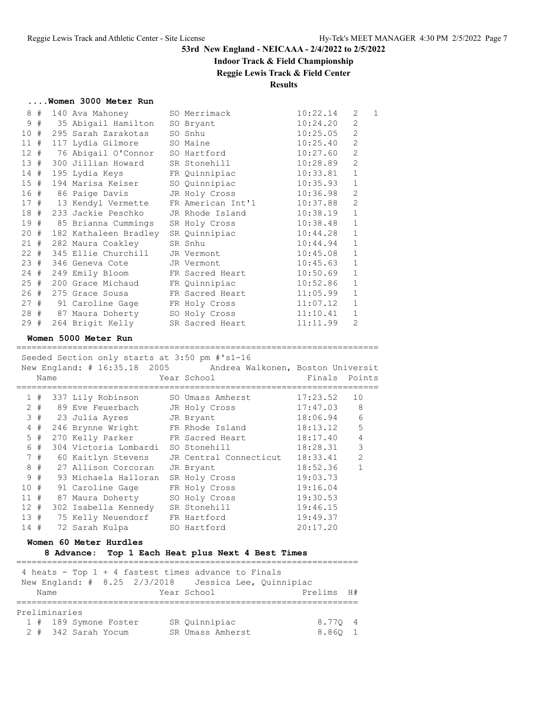# **Indoor Track & Field Championship**

### **Reggie Lewis Track & Field Center**

### **Results**

|  | Women 3000 Meter Run |  |  |
|--|----------------------|--|--|
|  |                      |  |  |

|      | 8# | 140 Ava Mahoney                      | SO Merrimack                              | 10:22.14 | 2              | $\mathbf{1}$ |
|------|----|--------------------------------------|-------------------------------------------|----------|----------------|--------------|
|      | 9# | 35 Abigail Hamilton                  | SO Bryant                                 | 10:24.20 | 2              |              |
| 10#  |    | 295 Sarah Zarakotas                  | SO Snhu                                   | 10:25.05 | $\mathbf{2}$   |              |
| 11#  |    | 117 Lydia Gilmore SO Maine           |                                           | 10:25.40 | $\overline{2}$ |              |
|      |    | 12 # 76 Abigail O'Connor SO Hartford |                                           | 10:27.60 | $\overline{2}$ |              |
| 13#  |    | 300 Jillian Howard                   | SR Stonehill                              | 10:28.89 | $\overline{2}$ |              |
| 14#  |    | 195 Lydia Keys FR Quinnipiac         |                                           | 10:33.81 | $1\,$          |              |
| 15#  |    |                                      | 194 Marisa Keiser       SO Quinnipiac     | 10:35.93 | $\mathbf{1}$   |              |
|      |    | 16 # 86 Paige Davis                  | JR Holy Cross                             | 10:36.98 | $\overline{2}$ |              |
|      |    |                                      | 17 # 13 Kendyl Vermette FR American Int'l | 10:37.88 | $\mathbf{2}$   |              |
|      |    | 18 # 233 Jackie Peschko              | JR Rhode Island                           | 10:38.19 | $\mathbf{1}$   |              |
|      |    |                                      | 19 # 85 Brianna Cummings SR Holy Cross    | 10:38.48 | $\mathbf{1}$   |              |
|      |    | 20 # 182 Kathaleen Bradley           | SR Quinnipiac                             | 10:44.28 | $\mathbf 1$    |              |
| 21#  |    | 282 Maura Coakley                    | SR Snhu                                   | 10:44.94 | $1\,$          |              |
| 22#  |    | 345 Ellie Churchill                  | JR Vermont                                | 10:45.08 | $\mathbf{1}$   |              |
|      |    | 23 # 346 Geneva Cote                 | JR Vermont                                | 10:45.63 | $\mathbf{1}$   |              |
| 24#  |    |                                      | 249 Emily Bloom FR Sacred Heart           | 10:50.69 | $1\,$          |              |
| 25#  |    | 200 Grace Michaud FR Quinnipiac      |                                           | 10:52.86 | $\mathbf{1}$   |              |
| 26 # |    | 275 Grace Sousa                      | FR Sacred Heart                           | 11:05.99 | $\mathbf{1}$   |              |
|      |    | 27 # 91 Caroline Gage                | FR Holy Cross                             | 11:07.12 | $\mathbf{1}$   |              |
|      |    | 28 # 87 Maura Doherty                | SO Holy Cross                             | 11:10.41 | $\mathbf{1}$   |              |
| 29#  |    |                                      | 264 Brigit Kelly SR Sacred Heart          | 11:11.99 | $\overline{2}$ |              |
|      |    |                                      |                                           |          |                |              |

#### **Women 5000 Meter Run**

=======================================================================

|        |       | Seeded Section only starts at 3:50 pm #'s1-16 |                                                                |          |                |
|--------|-------|-----------------------------------------------|----------------------------------------------------------------|----------|----------------|
|        |       |                                               | New England: # 16:35.18 2005 Andrea Walkonen, Boston Universit |          |                |
|        | Name  |                                               | Year School                                                    | Finals   | Points         |
|        |       |                                               |                                                                |          |                |
|        | 1#    | 337 Lily Robinson                             | SO Umass Amherst                                               | 17:23.52 | 10             |
|        | $2 +$ | 89 Eve Feuerbach                              | JR Holy Cross                                                  | 17:47.03 | 8              |
|        |       | 3 # 23 Julia Ayres                            | JR Bryant                                                      | 18:06.94 | 6              |
|        | 4#    | 246 Brynne Wright FR Rhode Island             |                                                                | 18:13.12 | 5              |
|        | 5#    | 270 Kelly Parker FR Sacred Heart              |                                                                | 18:17.40 | $\overline{4}$ |
|        | 6 #   | 304 Victoria Lombardi                         | SO Stonehill                                                   | 18:28.31 | 3              |
|        | 7#    | 60 Kaitlyn Stevens                            | JR Central Connecticut                                         | 18:33.41 | $\overline{2}$ |
|        | 8#    | 27 Allison Corcoran                           | JR Bryant                                                      | 18:52.36 | 1              |
| 9      | #     | 93 Michaela Halloran                          | SR Holy Cross                                                  | 19:03.73 |                |
| 10#    |       | 91 Caroline Gage                              | FR Holy Cross                                                  | 19:16.04 |                |
| $11$ # |       | 87 Maura Doherty                              | SO Holy Cross                                                  | 19:30.53 |                |
| 12#    |       | 302 Isabella Kennedy SR Stonehill             |                                                                | 19:46.15 |                |
| 13#    |       | 75 Kelly Neuendorf                            | FR Hartford                                                    | 19:49.37 |                |
| 14#    |       | 72 Sarah Kulpa                                | SO Hartford                                                    | 20:17.20 |                |

#### **Women 60 Meter Hurdles**

### **8 Advance: Top 1 Each Heat plus Next 4 Best Times**

|      |               | 4 heats - Top $1 + 4$ fastest times advance to Finals<br>New England: # 8.25 2/3/2018 Jessica Lee, Quinnipiac |                  |  |            |  |
|------|---------------|---------------------------------------------------------------------------------------------------------------|------------------|--|------------|--|
| Name |               |                                                                                                               | Year School      |  | Prelims H# |  |
|      |               |                                                                                                               |                  |  |            |  |
|      | Preliminaries |                                                                                                               |                  |  |            |  |
|      |               | 1 # 189 Symone Foster                                                                                         | SR Quinnipiac    |  | 8.770 4    |  |
|      |               | 2 # 342 Sarah Yocum                                                                                           | SR Umass Amherst |  | 8.860      |  |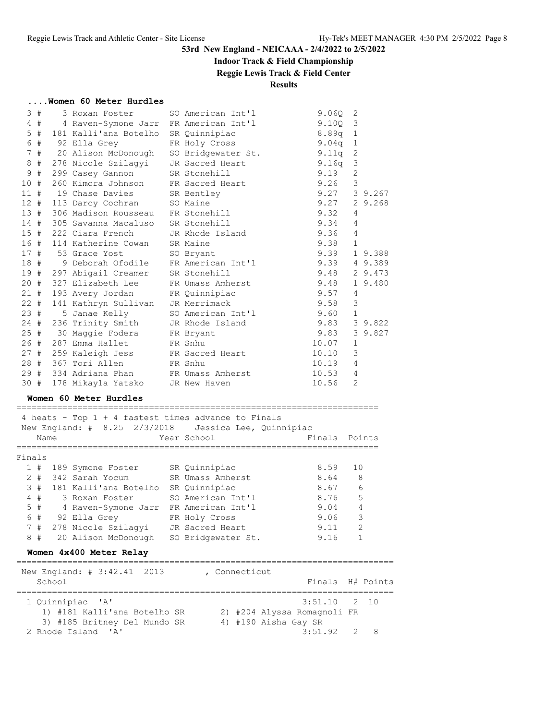# **Indoor Track & Field Championship**

**Reggie Lewis Track & Field Center**

### **Results**

### **....Women 60 Meter Hurdles**

|        | 3#    |              | 3 Roxan Foster                                                                      | SO American Int'l                    | 9.06Q                       | 2              |                         |
|--------|-------|--------------|-------------------------------------------------------------------------------------|--------------------------------------|-----------------------------|----------------|-------------------------|
|        | $4$ # |              | 4 Raven-Symone Jarr FR American Int'l                                               |                                      | 9.10Q                       | 3              |                         |
|        | 5#    |              | 181 Kalli'ana Botelho                                                               | SR Quinnipiac                        |                             | 8.89q<br>1     |                         |
|        | 6#    |              | 92 Ella Grey                                                                        | FR Holy Cross                        |                             | 9.04q<br>1     |                         |
|        | 7#    |              | 20 Alison McDonough                                                                 | SO Bridgewater St.                   |                             | 2<br>9.11q     |                         |
| 8      | #     |              | 278 Nicole Szilagyi                                                                 | JR Sacred Heart                      |                             | 3<br>9.16q     |                         |
|        | 9#    |              | 299 Casey Gannon                                                                    | SR Stonehill                         | 9.19                        | 2              |                         |
| 10#    |       |              | 260 Kimora Johnson                                                                  | FR Sacred Heart                      | 9.26                        | 3              |                         |
| 11#    |       |              | 19 Chase Davies                                                                     | SR Bentley                           |                             | 9.27           | 3 9.267                 |
| 12#    |       |              | 113 Darcy Cochran                                                                   | SO Maine                             |                             | 9.27           | 2 9.268                 |
| 13#    |       |              | 306 Madison Rousseau                                                                | FR Stonehill                         | 9.32                        | 4              |                         |
| 14#    |       |              | 305 Savanna Macaluso                                                                | SR Stonehill                         | 9.34                        | 4              |                         |
| $15$ # |       |              | 222 Ciara French                                                                    |                                      | 9.36                        | $\overline{4}$ |                         |
|        |       |              |                                                                                     | JR Rhode Island                      |                             |                |                         |
| 16 #   |       |              | 114 Katherine Cowan                                                                 | SR Maine                             | 9.38                        | $\mathbf{1}$   |                         |
| 17#    |       |              | 53 Grace Yost                                                                       | SO Bryant                            |                             | 9.39           | 1 9.388                 |
| 18#    |       |              | 9 Deborah Ofodile                                                                   | FR American Int'l                    |                             | 9.39           | 4 9.389                 |
| 19 #   |       |              | 297 Abigail Creamer                                                                 | SR Stonehill                         | 9.48                        |                | 2 9.473                 |
| 20 #   |       |              | 327 Elizabeth Lee                                                                   | FR Umass Amherst                     | 9.48                        |                | 1 9.480                 |
| 21#    |       |              | 193 Avery Jordan                                                                    | FR Quinnipiac                        | 9.57                        | 4              |                         |
| $22 +$ |       |              | 141 Kathryn Sullivan                                                                | JR Merrimack                         | 9.58                        | 3              |                         |
| 23#    |       |              | 5 Janae Kelly                                                                       | SO American Int'l                    | 9.60                        | $\mathbf{1}$   |                         |
| 24#    |       |              | 236 Trinity Smith                                                                   | JR Rhode Island                      | 9.83                        |                | 3 9.822                 |
| 25#    |       |              | 30 Maggie Fodera FR Bryant                                                          |                                      | 9.83                        |                | 3 9.827                 |
| 26#    |       |              | 287 Emma Hallet                                                                     | FR Snhu                              | 10.07                       | 1              |                         |
| 27#    |       |              | 259 Kaleigh Jess                                                                    | FR Sacred Heart                      | 10.10                       | 3              |                         |
| 28#    |       |              | 367 Tori Allen                                                                      | FR Snhu                              | 10.19                       | 4              |                         |
| 29#    |       |              | 334 Adriana Phan                                                                    | FR Umass Amherst                     | 10.53                       | 4              |                         |
| 30 #   |       |              | 178 Mikayla Yatsko JR New Haven                                                     |                                      | 10.56                       | 2              |                         |
|        |       |              |                                                                                     |                                      |                             |                |                         |
|        |       |              | Women 60 Meter Hurdles                                                              |                                      |                             |                |                         |
|        |       |              |                                                                                     |                                      |                             |                |                         |
|        |       |              | 4 heats - Top 1 + 4 fastest times advance to Finals<br>New England: # 8.25 2/3/2018 |                                      |                             |                |                         |
|        |       |              |                                                                                     | Jessica Lee, Quinnipiac              | Finals                      |                |                         |
|        | Name  |              | --------------------                                                                | Year School<br>--------------------- | ;===================        |                | Points                  |
|        |       |              |                                                                                     |                                      |                             |                |                         |
| Finals |       |              |                                                                                     |                                      |                             |                |                         |
|        |       |              | 1 # 189 Symone Foster SR Quinnipiac                                                 |                                      | 8.59                        |                | 10                      |
|        | $2 +$ |              | 342 Sarah Yocum                                                                     | SR Umass Amherst                     | 8.64                        |                | 8                       |
|        | 3#    |              | 181 Kalli'ana Botelho SR Quinnipiac                                                 |                                      | 8.67                        |                | 6                       |
|        | 4#    |              | 3 Roxan Foster                                                                      | SO American Int'l                    | 8.76                        |                | 5                       |
|        | $5$ # |              | 4 Raven-Symone Jarr FR American Int'l                                               |                                      | 9.04                        |                | 4                       |
|        |       |              | 6 # 92 Ella Grey FR Holy Cross                                                      |                                      | 9.06                        |                | $\overline{\mathbf{3}}$ |
|        | 7#    |              | 278 Nicole Szilagyi                                                                 | JR Sacred Heart                      | 9.11                        |                | 2                       |
|        | 8#    |              | 20 Alison McDonough                                                                 | SO Bridgewater St.                   | 9.16                        |                | 1                       |
|        |       |              | Women 4x400 Meter Relay                                                             |                                      |                             |                |                         |
|        |       |              | ======================                                                              |                                      |                             |                |                         |
|        |       |              | New England: # 3:42.41<br>2013                                                      | , Connecticut                        |                             |                |                         |
|        |       | School       |                                                                                     |                                      | Finals                      |                | H# Points               |
|        |       |              |                                                                                     |                                      |                             |                |                         |
|        |       | 1 Quinnipiac | 'A'                                                                                 |                                      | 3:51.10                     | 2              | 10                      |
|        |       |              | 1) #181 Kalli'ana Botelho SR                                                        |                                      | 2) #204 Alyssa Romagnoli FR |                |                         |
|        |       |              | 3) #185 Britney Del Mundo SR                                                        |                                      | 4) #190 Aisha Gay SR        |                |                         |
|        |       |              | 2 Rhode Island<br>' A'                                                              |                                      | 3:51.92                     | 2              | 8                       |
|        |       |              |                                                                                     |                                      |                             |                |                         |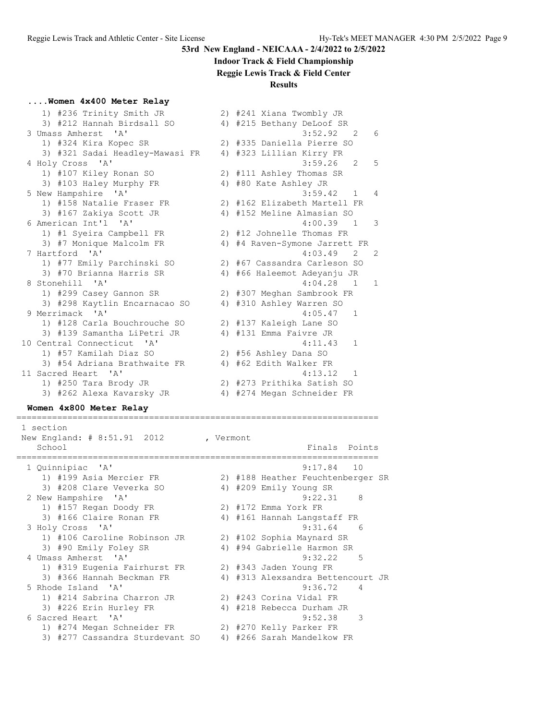#### **Indoor Track & Field Championship**

**Reggie Lewis Track & Field Center**

#### **Results**

|  |  |  | Women 4x400 Meter Relay |  |  |  |
|--|--|--|-------------------------|--|--|--|
|--|--|--|-------------------------|--|--|--|

| 1) #236 Trinity Smith JR        |    | 2) #241 Xiana Twombly JR     |                |
|---------------------------------|----|------------------------------|----------------|
| 3) #212 Hannah Birdsall SO      |    | 4) #215 Bethany DeLoof SR    |                |
| 3 Umass Amherst 'A'             |    | 3:52.92 2                    | 6              |
| 1) #324 Kira Kopec SR           |    | 2) #335 Daniella Pierre SO   |                |
| 3) #321 Sadai Headley-Mawasi FR |    | 4) #323 Lillian Kirry FR     |                |
| 4 Holy Cross 'A'                |    | $3:59.26$ 2                  | 5              |
| 1) #107 Kiley Ronan SO          |    | 2) #111 Ashley Thomas SR     |                |
| 3) #103 Haley Murphy FR         |    | 4) #80 Kate Ashley JR        |                |
| 5 New Hampshire 'A'             |    | 3:59.42<br>$\mathbf{1}$      | $\overline{4}$ |
| 1) #158 Natalie Fraser FR       |    | 2) #162 Elizabeth Martell FR |                |
| 3) #167 Zakiya Scott JR         |    | 4) #152 Meline Almasian SO   |                |
| 6 American Int'l 'A'            |    | 4:00.39<br>$\overline{1}$    | 3              |
| 1) #1 Syeira Campbell FR        |    | 2) #12 Johnelle Thomas FR    |                |
| 3) #7 Monique Malcolm FR        | 4) | #4 Raven-Symone Jarrett FR   |                |
| 7 Hartford 'A'                  |    | 4:03.49<br>$\mathcal{L}$     | 2              |
| 1) #77 Emily Parchinski SO      |    | 2) #67 Cassandra Carleson SO |                |
| 3) #70 Brianna Harris SR        |    | 4) #66 Haleemot Adeyanju JR  |                |
| 8 Stonehill 'A'                 |    | $4:04.28$ 1                  | $\overline{1}$ |
| 1) #299 Casey Gannon SR         |    | 2) #307 Meghan Sambrook FR   |                |
| 3) #298 Kaytlin Encarnacao SO   |    | 4) #310 Ashley Warren SO     |                |
| 9 Merrimack 'A'                 |    | 4:05.47<br>$\mathbf{1}$      |                |
| 1) #128 Carla Bouchrouche SO    |    | 2) #137 Kaleigh Lane SO      |                |
| 3) #139 Samantha LiPetri JR     |    | 4) #131 Emma Faivre JR       |                |
| 10 Central Connecticut 'A'      |    | 4:11.43<br>$\mathbf{1}$      |                |
| 1) #57 Kamilah Diaz SO          |    | 2) #56 Ashley Dana SO        |                |
| 3) #54 Adriana Brathwaite FR    |    | 4) #62 Edith Walker FR       |                |
| 11 Sacred Heart 'A'             |    | 4:13.12<br>$\overline{1}$    |                |
| 1) #250 Tara Brody JR           |    | 2) #273 Prithika Satish SO   |                |
| 3) #262 Alexa Kavarsky JR       |    | 4) #274 Megan Schneider FR   |                |

#### **Women 4x800 Meter Relay** =======================================================================

 1 section New England: # 8:51.91 2012 , Vermont School Finals Points Research International Points Points Points Points Points Points Points Points Points Points Points Points Points Points Points Points Points Points Points Points Points Points Points Points Points Poi ======================================================================= 1 Quinnipiac 'A' 9:17.84 10 1) #199 Asia Mercier FR 2) #188 Heather Feuchtenberger SR 3) #208 Clare Veverka SO 4) #209 Emily Young SR 2 New Hampshire 'A' 9:22.31 8 1) #157 Regan Doody FR 2) #172 Emma York FR 3) #166 Claire Ronan FR 4) #161 Hannah Langstaff FR 3 Holy Cross 'A' 9:31.64 6 1) #106 Caroline Robinson JR 2) #102 Sophia Maynard SR 3) #90 Emily Foley SR 4) #94 Gabrielle Harmon SR 4 Umass Amherst 'A' 9:32.22 5 1) #319 Eugenia Fairhurst FR 2) #343 Jaden Young FR 3) #366 Hannah Beckman FR 4) #313 Alexsandra Bettencourt JR 5 Rhode Island 'A' 9:36.72 4 1) #214 Sabrina Charron JR 2) #243 Corina Vidal FR 3) #226 Erin Hurley FR 4) #218 Rebecca Durham JR 6 Sacred Heart 'A' 9:52.38 3 1) #274 Megan Schneider FR 2) #270 Kelly Parker FR 3) #277 Cassandra Sturdevant SO 4) #266 Sarah Mandelkow FR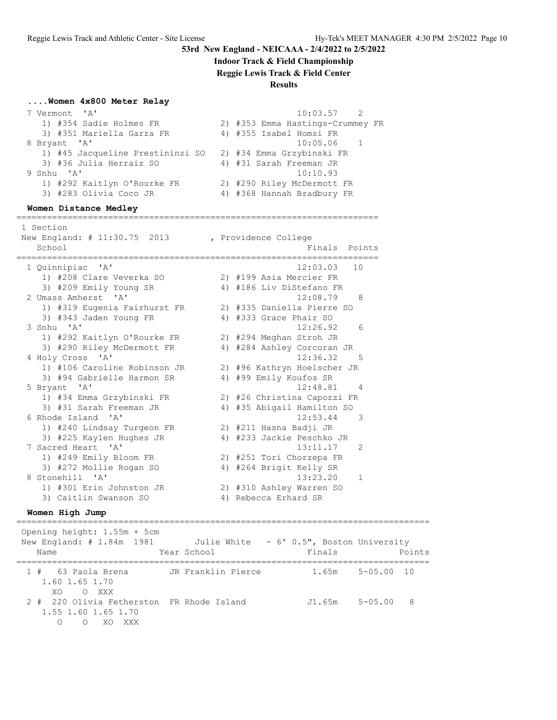**Indoor Track & Field Championship**

**Reggie Lewis Track & Field Center**

#### **Results**

#### **....Women 4x800 Meter Relay**

| 7 Vermont 'A'                    | $10:03.57$ 2                     |
|----------------------------------|----------------------------------|
| 1) #354 Sadie Holmes FR          | 2) #353 Emma Hastings-Crummey FR |
| 3) #351 Mariella Garza FR        | 4) #355 Isabel Homsi FR          |
| 8 Bryant 'A'                     | $10:05.06$ 1                     |
| 1) #45 Jacqueline Prestininzi SO | 2) #34 Emma Grzybinski FR        |
| 3) #36 Julia Herraiz SO          | 4) #31 Sarah Freeman JR          |
| 9 Snhu 'A'                       | 10:10.93                         |
| 1) #292 Kaitlyn O'Rourke FR      | 2) #290 Riley McDermott FR       |
| 3) #283 Olivia Coco JR           | 4) #368 Hannah Bradbury FR       |
|                                  |                                  |

#### **Women Distance Medley**

======================================================================= 1 Section New England: # 11:30.75 2013 , Providence College School **Finals Points** ======================================================================= 1 Quinnipiac 'A' 12:03.03 10 1) #208 Clare Veverka SO 2) #199 Asia Mercier FR 3) #209 Emily Young SR 4) #186 Liv DiStefano FR 2 Umass Amherst 'A' 12:08.79 8 1) #319 Eugenia Fairhurst FR 2) #335 Daniella Pierre SO 3) #343 Jaden Young FR 4) #333 Grace Phair SO 3 Snhu 'A' 12:26.92 6 1) #292 Kaitlyn O'Rourke FR 2) #294 Meghan Stroh JR 3) #290 Riley McDermott FR 4) #284 Ashley Corcoran JR 4 Holy Cross 'A' 12:36.32 5 1) #106 Caroline Robinson JR 2) #96 Kathryn Hoelscher JR 3) #94 Gabrielle Harmon SR 4) #99 Emily Koufos SR 5 Bryant 'A' 12:48.81 4 1) #34 Emma Grzybinski FR 2) #26 Christina Capozzi FR 3) #31 Sarah Freeman JR 4) #35 Abigail Hamilton SO 6 Rhode Island 'A' 12:53.44 3 1) #240 Lindsay Turgeon FR 2) #211 Hasna Badji JR 3) #225 Kaylen Hughes JR 4) #233 Jackie Peschko JR 7 Sacred Heart 'A' 13:11.17 2 1) #249 Emily Bloom FR 2) #251 Tori Chorzepa FR 3) #272 Mollie Rogan SO 4) #264 Brigit Kelly SR 8 Stonehill 'A' 13:23.20 1 1) #301 Erin Johnston JR 2) #310 Ashley Warren SO 3) Caitlin Swanson SO 64) Rebecca Erhard SR

#### **Women High Jump**

================================================================================= Opening height: 1.55m + 5cm New England: # 1.84m 1981 Julie White - 6' 0.5", Boston University Name The Year School Team Points Points Points ================================================================================= 1 # 63 Paola Brena JR Franklin Pierce 1.65m 5-05.00 10 1.60 1.65 1.70 XO O XXX 2 # 220 Olivia Fetherston FR Rhode Island J1.65m 5-05.00 8 1.55 1.60 1.65 1.70 O O XO XXX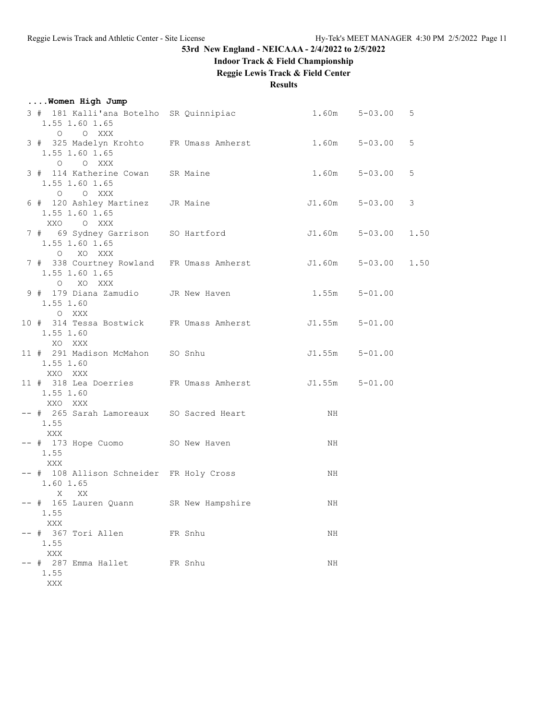# **Indoor Track & Field Championship**

**Reggie Lewis Track & Field Center**

**Results**

| Women High Jump                                                                    |         |        |                     |   |
|------------------------------------------------------------------------------------|---------|--------|---------------------|---|
| 3 # 181 Kalli'ana Botelho SR Quinnipiac 1.60m 5-03.00<br>1.55 1.60 1.65<br>O O XXX |         |        |                     | 5 |
| 3 # 325 Madelyn Krohto FR Umass Amherst 1.60m<br>1.55 1.60 1.65<br>O O XXX         |         |        | $5 - 03.00$         | 5 |
| 3 # 114 Katherine Cowan SR Maine<br>1.55 1.60 1.65<br>O O XXX                      |         | 1.60m  | $5 - 03.00$         | 5 |
| 6 # 120 Ashley Martinez JR Maine<br>1.55 1.60 1.65<br>XXO OXXX                     |         | J1.60m | $5 - 03.00$         | 3 |
| 7 # 69 Sydney Garrison SO Hartford<br>1.55 1.60 1.65<br>O XO XXX                   |         |        | J1.60m 5-03.00 1.50 |   |
| 7 # 338 Courtney Rowland FR Umass Amherst J1.60m<br>1.55 1.60 1.65<br>O XO XXX     |         |        | $5 - 03.00$ 1.50    |   |
| 9 # 179 Diana Zamudio JR New Haven<br>1.55 1.60<br>O XXX                           |         | 1.55m  | $5 - 01.00$         |   |
| 10 # 314 Tessa Bostwick FR Umass Amherst 51.55m<br>1.55 1.60<br>XO XXX             |         |        | $5 - 01.00$         |   |
| 11 # 291 Madison McMahon SO Snhu<br>1.55 1.60<br>XXO XXX                           |         | J1.55m | $5 - 01.00$         |   |
| 11 # 318 Lea Doerries FR Umass Amherst 51.55m<br>1.55 1.60<br>XXO XXX              |         |        | $5 - 01.00$         |   |
| -- # 265 Sarah Lamoreaux SO Sacred Heart<br>1.55<br>XXX                            |         | NH     |                     |   |
| -- # 173 Hope Cuomo SO New Haven<br>1.55<br>XXX                                    |         | NH     |                     |   |
| -- # 108 Allison Schneider FR Holy Cross<br>1.60 1.65<br>X<br>XX X                 |         | NH     |                     |   |
| -- # 165 Lauren Quann SR New Hampshire<br>1.55<br>XXX                              |         | ΝH     |                     |   |
| -- # 367 Tori Allen<br>1.55<br>$\mathbf{XXX}$                                      | FR Snhu | NH     |                     |   |
| -- # 287 Emma Hallet<br>1.55<br>XXX                                                | FR Snhu | NH     |                     |   |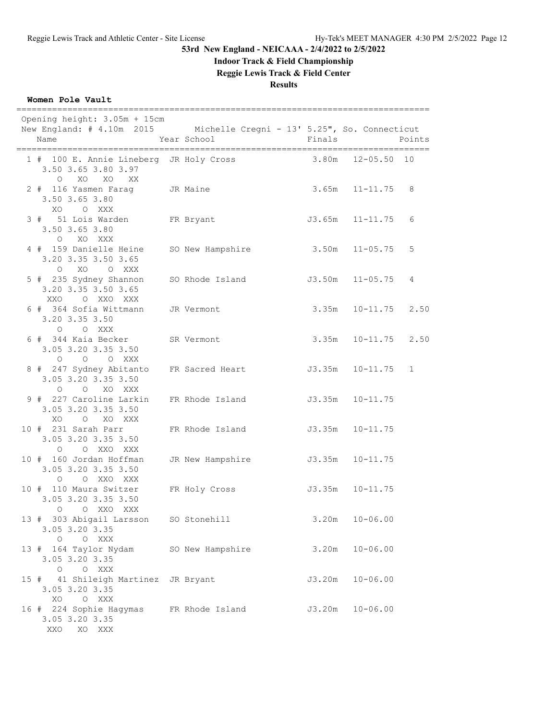# **Indoor Track & Field Championship**

**Reggie Lewis Track & Field Center**

**Results**

### **Women Pole Vault**

| Opening height: 3.05m + 15cm<br>New England: # 4.10m 2015 Michelle Cregni - 13' 5.25", So. Connecticut<br>Name | Year School                   | Finals |                           | Points       |
|----------------------------------------------------------------------------------------------------------------|-------------------------------|--------|---------------------------|--------------|
| 1 # 100 E. Annie Lineberg JR Holy Cross<br>3.50 3.65 3.80 3.97<br>O XO XO XX                                   |                               |        | 3.80m 12-05.50 10         |              |
| 2 # 116 Yasmen Farag JR Maine<br>3.50 3.65 3.80<br>XO O XXX                                                    |                               |        | $3.65m$ $11-11.75$ 8      |              |
| 3 # 51 Lois Warden FR Bryant<br>3.50 3.65 3.80<br>O XO XXX                                                     |                               |        | $J3.65m$ $11-11.75$       | 6            |
| 4 # 159 Danielle Heine<br>3.20 3.35 3.50 3.65<br>O XO O XXX                                                    | SO New Hampshire              |        | $3.50m$ $11-05.75$        | 5            |
| 5 # 235 Sydney Shannon SO Rhode Island<br>3.20 3.35 3.50 3.65<br>XXO O XXO XXX                                 |                               |        | J3.50m 11-05.75           | 4            |
| 6 # 364 Sofia Wittmann JR Vermont<br>3.20 3.35 3.50<br>O O XXX                                                 |                               |        | $3.35m$ $10-11.75$ $2.50$ |              |
| 6 # 344 Kaia Becker SR Vermont<br>3.05 3.20 3.35 3.50<br>$O$ $O$ $O$ $XXX$                                     |                               |        | 3.35m 10-11.75 2.50       |              |
| 8 # 247 Sydney Abitanto FR Sacred Heart<br>3.05 3.20 3.35 3.50<br>O O XO XXX                                   |                               |        | $J3.35m$ $10-11.75$       | $\mathbf{1}$ |
| 9 # 227 Caroline Larkin FR Rhode Island<br>3.05 3.20 3.35 3.50<br>XO O XO XXX                                  |                               |        | $J3.35m$ $10-11.75$       |              |
| 10 # 231 Sarah Parr<br>3.05 3.20 3.35 3.50<br>O O XXO XXX                                                      | FR Rhode Island               |        | $J3.35m$ $10-11.75$       |              |
| 10 # 160 Jordan Hoffman<br>3.05 3.20 3.35 3.50<br>O O XXO XXX                                                  | JR New Hampshire              |        | J3.35m 10-11.75           |              |
| 10 # 110 Maura Switzer<br>3.05 3.20 3.35 3.50<br>O O XXO XXX                                                   | FR Holy Cross 53.35m 10-11.75 |        |                           |              |
| 13 # 303 Abigail Larsson<br>3.05 3.20 3.35<br>O O XXX                                                          | SO Stonehill                  | 3.20m  | $10 - 06.00$              |              |
| 13 # 164 Taylor Nydam<br>3.05 3.20 3.35<br>O O XXX                                                             | SO New Hampshire              | 3.20m  | $10 - 06.00$              |              |
| 15 # 41 Shileigh Martinez JR Bryant<br>3.05 3.20 3.35<br>XO O XXX                                              |                               | J3.20m | $10 - 06.00$              |              |
| 16 # 224 Sophie Hagymas<br>3.05 3.20 3.35<br>XXO<br>XO XXX                                                     | FR Rhode Island               | J3.20m | $10 - 06.00$              |              |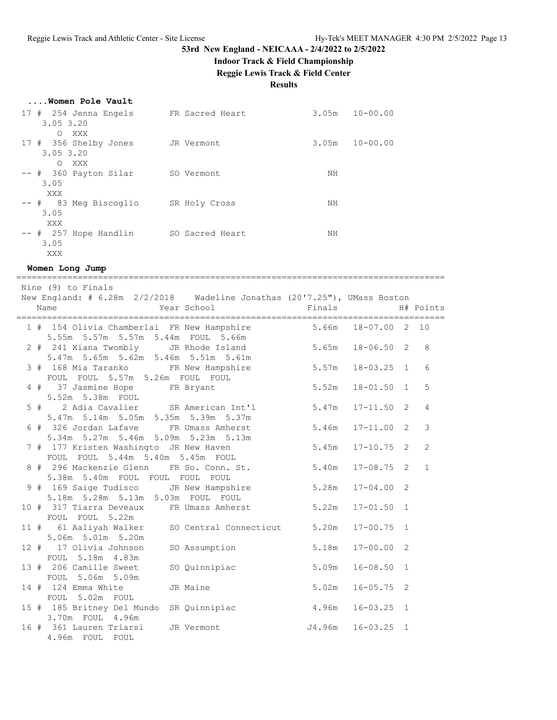### **Indoor Track & Field Championship**

**Reggie Lewis Track & Field Center**

#### **Results**

|  |  |  | Women Pole Vault |  |  |
|--|--|--|------------------|--|--|
|--|--|--|------------------|--|--|

| 17 # 254 Jenna Engels                            | FR Sacred Heart | $10 - 00.00$<br>3.05m |
|--------------------------------------------------|-----------------|-----------------------|
| $3.05$ $3.20$<br>XXX<br>$\Omega$                 |                 |                       |
| 17 # 356 Shelby Jones<br>$3.05$ $3.20$           | JR Vermont      | $10 - 00.00$<br>3.05m |
| XXX<br>$\Omega$<br>-- # 360 Payton Silar<br>3.05 | SO Vermont      | ΝH                    |
| XXX<br>-- # 83 Meg Biscoglio                     | SR Holy Cross   | NH                    |
| 3.05<br>XXX                                      |                 |                       |
| $--$ # 257 Hope Handlin<br>3.05                  | SO Sacred Heart | NΗ                    |
| XXX                                              |                 |                       |

**Women Long Jump**

==================================================================================== Nine (9) to Finals New England: # 6.28m 2/2/2018 Wadeline Jonathas (20'7.25"), UMass Boston Name 1988 Mear School 1988 Finals H# Points ==================================================================================== 1 # 154 Olivia Chamberlai FR New Hampshire 5.66m 18-07.00 2 10 5.55m 5.57m 5.57m 5.44m FOUL 5.66m 2 # 241 Xiana Twombly JR Rhode Island 5.65m 18-06.50 2 8 5.47m 5.65m 5.62m 5.46m 5.51m 5.61m 3 # 168 Mia Taranko FR New Hampshire 5.57m 18-03.25 1 6 FOUL FOUL 5.57m 5.26m FOUL FOUL 4 # 37 Jasmine Hope FR Bryant 5.52m 18-01.50 1 5 5.52m 5.38m FOUL 5 # 2 Adia Cavalier SR American Int'l 5.47m 17-11.50 2 4 5.47m 5.14m 5.05m 5.35m 5.39m 5.37m 6 # 326 Jordan Lafave FR Umass Amherst 5.46m 17-11.00 2 3 5.34m 5.27m 5.46m 5.09m 5.23m 5.13m 7 # 177 Kristen Washingto JR New Haven 5.45m 17-10.75 2 2 FOUL FOUL 5.44m 5.40m 5.45m FOUL 8 # 296 Mackenzie Glenn FR So. Conn. St. 5.40m 17-08.75 2 1 5.38m 5.40m FOUL FOUL FOUL FOUL 9 # 169 Saige Tudisco JR New Hampshire 5.28m 17-04.00 2 5.18m 5.28m 5.13m 5.03m FOUL FOUL 10 # 317 Tiarra Deveaux FR Umass Amherst 5.22m 17-01.50 1 FOUL FOUL 5.22m 11 # 61 Aaliyah Walker SO Central Connecticut 5.20m 17-00.75 1 5.06m 5.01m 5.20m 12 # 17 Olivia Johnson SO Assumption 5.18m 17-00.00 2 FOUL 5.18m 4.83m 13 # 206 Camille Sweet SO Quinnipiac 5.09m 16-08.50 1 FOUL 5.06m 5.09m 14 # 124 Emma White JR Maine 5.02m 16-05.75 2 FOUL 5.02m FOUL 15 # 185 Britney Del Mundo SR Quinnipiac 4.96m 16-03.25 1 3.70m FOUL 4.96m 16 # 361 Lauren Triarsi JR Vermont J4.96m 16-03.25 1 4.96m FOUL FOUL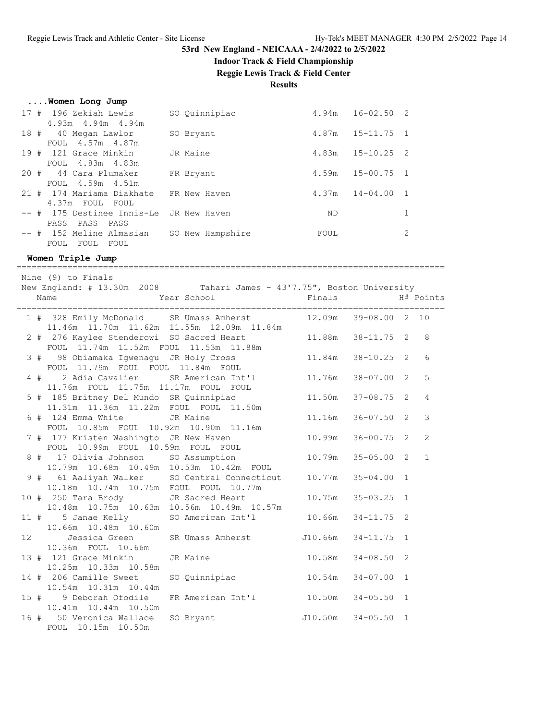#### **Indoor Track & Field Championship**

**Reggie Lewis Track & Field Center**

**Results**

|  |  |  |  | Women Long Jump |  |  |
|--|--|--|--|-----------------|--|--|
|--|--|--|--|-----------------|--|--|

| 196 Zekiah Lewis        | SO Quinnipiac                                                                                       | 4.94m                                   |                                                                                        |
|-------------------------|-----------------------------------------------------------------------------------------------------|-----------------------------------------|----------------------------------------------------------------------------------------|
| $4.93m$ $4.94m$ $4.94m$ |                                                                                                     |                                         |                                                                                        |
| 40 Megan Lawlor         | SO Bryant                                                                                           | 4.87m                                   |                                                                                        |
| FOUL 4.57m 4.87m        |                                                                                                     |                                         |                                                                                        |
|                         | JR Maine                                                                                            | 4.83m                                   |                                                                                        |
| FOUL 4.83m 4.83m        |                                                                                                     |                                         |                                                                                        |
| 44 Cara Plumaker        | FR Bryant                                                                                           | 4.59m                                   |                                                                                        |
| FOUL 4.59m 4.51m        |                                                                                                     |                                         |                                                                                        |
|                         | FR New Haven                                                                                        | 4.37m                                   |                                                                                        |
| 4.37m FOUL FOUL         |                                                                                                     |                                         |                                                                                        |
|                         |                                                                                                     | ND.                                     | 1                                                                                      |
| PASS PASS PASS          |                                                                                                     |                                         |                                                                                        |
|                         | SO New Hampshire                                                                                    | FOUL                                    | 2                                                                                      |
| FOUL<br>FOUL<br>FOUL    |                                                                                                     |                                         |                                                                                        |
|                         | 17#<br>18#<br>19 # 121 Grace Minkin<br>20#<br>21 # 174 Mariama Diakhate<br>-- # 152 Meline Almasian | -- # 175 Destinee Innis-Le JR New Haven | $16 - 02.50$ 2<br>$15 - 11.75$ 1<br>$15 - 10.25$ 2<br>$15 - 00.75$ 1<br>$14 - 04.00$ 1 |

====================================================================================

**Women Triple Jump**

 Nine (9) to Finals New England: # 13.30m 2008 Tahari James - 43'7.75", Boston University Name 1988 Mear School 1988 Finals H# Points ==================================================================================== 1 # 328 Emily McDonald SR Umass Amherst 12.09m 39-08.00 2 10 11.46m 11.70m 11.62m 11.55m 12.09m 11.84m 2 # 276 Kaylee Stenderowi SO Sacred Heart 11.88m 38-11.75 2 8 FOUL 11.74m 11.52m FOUL 11.53m 11.88m 3 # 98 Obiamaka Igwenagu JR Holy Cross 11.84m 38-10.25 2 6 FOUL 11.79m FOUL FOUL 11.84m FOUL 4 # 2 Adia Cavalier SR American Int'l 11.76m 38-07.00 2 5 11.76m FOUL 11.75m 11.17m FOUL FOUL 5 # 185 Britney Del Mundo SR Quinnipiac 11.50m 37-08.75 2 4 11.31m 11.36m 11.22m FOUL FOUL 11.50m 6 # 124 Emma White JR Maine 11.16m 36-07.50 2 3 FOUL 10.85m FOUL 10.92m 10.90m 11.16m 7 # 177 Kristen Washingto JR New Haven 10.99m 36-00.75 2 2 FOUL 10.99m FOUL 10.59m FOUL FOUL 8 # 17 Olivia Johnson SO Assumption 10.79m 35-05.00 2 1 10.79m 10.68m 10.49m 10.53m 10.42m FOUL 9 # 61 Aaliyah Walker SO Central Connecticut 10.77m 35-04.00 1 10.18m 10.74m 10.75m FOUL FOUL 10.77m<br>10 # 250 Tara Brody JR Sacred Heart 10 # 250 Tara Brody JR Sacred Heart 10.75m 35-03.25 1 10.48m 10.75m 10.63m 10.56m 10.49m 10.57m 11 # 5 Janae Kelly SO American Int'l 10.66m 34-11.75 2 10.66m 10.48m 10.60m 12 Jessica Green SR Umass Amherst J10.66m 34-11.75 1 10.36m FOUL 10.66m 13 # 121 Grace Minkin JR Maine 10.58m 34-08.50 2 10.25m 10.33m 10.58m 14 # 206 Camille Sweet SO Quinnipiac 10.54m 34-07.00 1 10.54m 10.31m 10.44m 15 # 9 Deborah Ofodile FR American Int'l 10.50m 34-05.50 1 10.41m 10.44m 10.50m 16 # 50 Veronica Wallace SO Bryant 10.50m 34-05.50 1 FOUL 10.15m 10.50m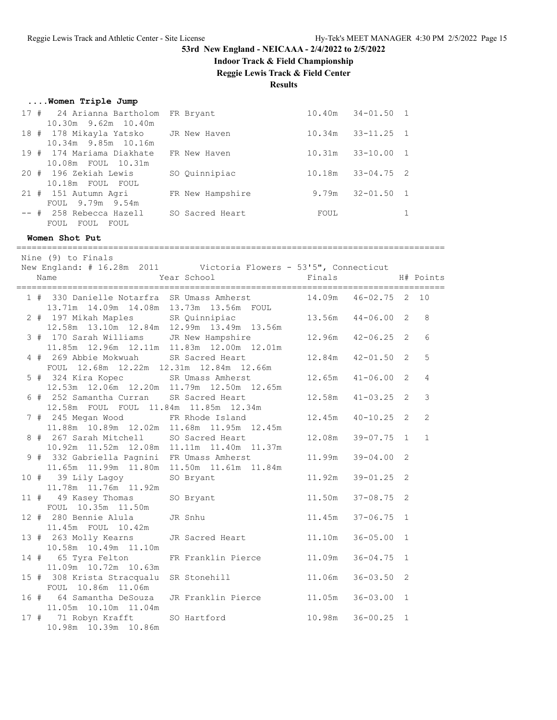**Indoor Track & Field Championship**

**Reggie Lewis Track & Field Center**

#### **Results**

#### **....Women Triple Jump**

| 17 # 24 Arianna Bartholom FR Bryant<br>10.30m 9.62m 10.40m      |                  | $10.40m$ $34-01.50$ 1    |  |
|-----------------------------------------------------------------|------------------|--------------------------|--|
| 18 # 178 Mikayla Yatsko JR New Haven<br>10.34m 9.85m 10.16m     |                  | $33 - 11.25$ 1<br>10.34m |  |
| 19 # 174 Mariama Diakhate                                       | FR New Haven     | $33 - 10.00$ 1<br>10.31m |  |
| 10.08m FOUL 10.31m<br>20 # 196 Zekiah Lewis<br>10.18m FOUL FOUL | SO Quinnipiac    | $33 - 04.75$ 2<br>10.18m |  |
| 21 # 151 Autumn Agri<br>FOUL 9.79m 9.54m                        | FR New Hampshire | $32 - 01.50$ 1<br>9.79m  |  |
| -- # 258 Rebecca Hazell<br>FOUL FOUL FOUL                       | SO Sacred Heart  | FOUL                     |  |

====================================================================================

#### **Women Shot Put**

 Nine (9) to Finals New England: # 16.28m 2011 Victoria Flowers - 53'5", Connecticut Name 1988 Mear School 1988 Finals H# Points ==================================================================================== 1 # 330 Danielle Notarfra SR Umass Amherst 14.09m 46-02.75 2 10 13.71m 14.09m 14.08m 13.73m 13.56m FOUL 2 # 197 Mikah Maples SR Quinnipiac 13.56m 44-06.00 2 8 12.58m 13.10m 12.84m 12.99m 13.49m 13.56m 3 # 170 Sarah Williams JR New Hampshire 12.96m 42-06.25 2 6 11.85m 12.96m 12.11m 11.83m 12.00m 12.01m 4 # 269 Abbie Mokwuah SR Sacred Heart 12.84m 42-01.50 2 5 FOUL 12.68m 12.22m 12.31m 12.84m 12.66m 5 # 324 Kira Kopec SR Umass Amherst 12.65m 41-06.00 2 4 12.53m 12.06m 12.20m 11.79m 12.50m 12.65m 6 # 252 Samantha Curran SR Sacred Heart 12.58m 41-03.25 2 3 12.58m FOUL FOUL 11.84m 11.85m 12.34m 7 # 245 Megan Wood FR Rhode Island 12.45m 40-10.25 2 2 11.88m 10.89m 12.02m 11.68m 11.95m 12.45m 8 # 267 Sarah Mitchell SO Sacred Heart 12.08m 39-07.75 1 1 10.92m 11.52m 12.08m 11.11m 11.40m 11.37m 9 # 332 Gabriella Pagnini FR Umass Amherst 11.99m 39-04.00 2 11.65m 11.99m 11.80m 11.50m 11.61m 11.84m 10 # 39 Lily Lagoy SO Bryant 11.92m 39-01.25 2 11.78m 11.76m 11.92m 11 # 49 Kasey Thomas SO Bryant 11.50m 37-08.75 2 FOUL 10.35m 11.50m 12 # 280 Bennie Alula JR Snhu 11.45m 37-06.75 1 11.45m FOUL 10.42m 13 # 263 Molly Kearns JR Sacred Heart 11.10m 36-05.00 1 10.58m 10.49m 11.10m 14 # 65 Tyra Felton FR Franklin Pierce 11.09m 36-04.75 1 11.09m 10.72m 10.63m 15 # 308 Krista Stracqualu SR Stonehill 11.06m 36-03.50 2 FOUL 10.86m 11.06m 16 # 64 Samantha DeSouza JR Franklin Pierce 11.05m 36-03.00 1 11.05m 10.10m 11.04m 17 # 71 Robyn Krafft SO Hartford 10.98m 36-00.25 1 10.98m 10.39m 10.86m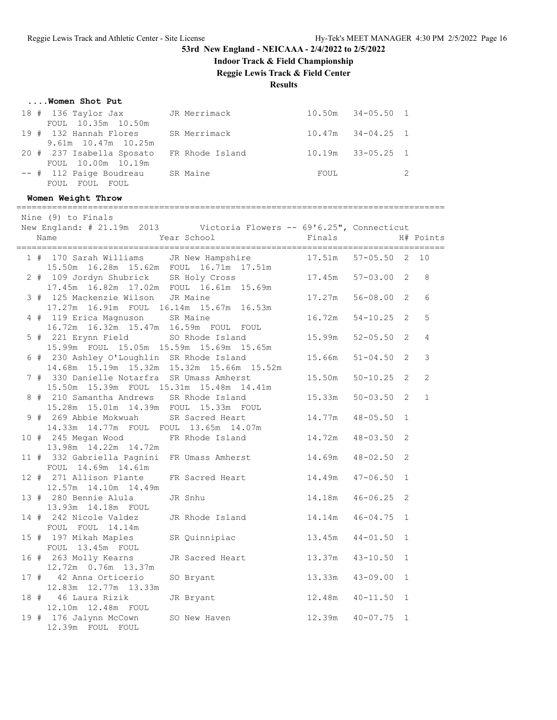**....Women Shot Put**

# **53rd New England - NEICAAA - 2/4/2022 to 2/5/2022**

**Indoor Track & Field Championship**

**Reggie Lewis Track & Field Center**

**Results**

| FOUL 10.35m 10.50m                                                                                                 | 18 # 136 Taylor Jax JR Merrimack 10.50m 34-05.50 1                                                           |                       |                |                |
|--------------------------------------------------------------------------------------------------------------------|--------------------------------------------------------------------------------------------------------------|-----------------------|----------------|----------------|
| 19 # 132 Hannah Flores SR Merrimack<br>9.61m 10.47m 10.25m                                                         |                                                                                                              | 10.47m  34-04.25  1   |                |                |
| FOUL 10.00m 10.19m                                                                                                 | 20 # 237 Isabella Sposato FR Rhode Island 10.19m 33-05.25                                                    |                       |                | $\mathbf{1}$   |
| -- # 112 Paige Boudreau SR Maine<br>FOUL FOUL FOUL                                                                 |                                                                                                              | FOUL                  |                | $\mathbf{2}$   |
| Women Weight Throw                                                                                                 |                                                                                                              |                       |                |                |
| Nine (9) to Finals                                                                                                 |                                                                                                              |                       |                |                |
| Name Year School                                                                                                   | New England: # 21.19m 2013 Victoria Flowers -- 69'6.25", Connecticut                                         | Finals H# Points      |                |                |
|                                                                                                                    | 1 # 170 Sarah Williams JR New Hampshire 17.51m 57-05.50 2 10<br>15.50m  16.28m  15.62m  FOUL  16.71m  17.51m |                       |                |                |
| 2 # 109 Jordyn Shubrick SR Holy Cross<br>17.45m  16.82m  17.02m  FOUL  16.61m  15.69m                              |                                                                                                              | $17.45m$ $57-03.00$ 2 |                | 8              |
| 3 # 125 Mackenzie Wilson JR Maine<br>17.27m  16.91m  FOUL  16.14m  15.67m  16.53m                                  |                                                                                                              | 17.27m  56-08.00  2   |                | 6              |
|                                                                                                                    | 4 # 119 Erica Magnuson SR Maine 16.72m 54-10.25 2                                                            |                       |                | 5              |
| 16.72m  16.32m  15.47m  16.59m  FOUL  FOUL<br>15.99m FOUL 15.05m 15.59m 15.69m 15.65m                              | 5 # 221 Erynn Field SO Rhode Island 15.99m 52-05.50 2                                                        |                       |                | 4              |
| 6 # 230 Ashley O'Loughlin SR Rhode Island                                                                          |                                                                                                              | 15.66m 51-04.50 2     |                | 3              |
| 7 # 330 Danielle Notarfra SR Umass Amherst                                                                         | 14.68m  15.19m  15.32m  15.32m  15.66m  15.52m                                                               | 15.50m 50-10.25 2     |                | $\overline{c}$ |
| 8 # 210 Samantha Andrews SR Rhode Island                                                                           | 15.50m  15.39m  FOUL  15.31m  15.48m  14.41m                                                                 | 15.33m                | $50 - 03.50$ 2 | $\mathbf{1}$   |
| 210 Samantha Andrews business of $15.28$ m 15.01m 14.39m FOUL 15.33m FOUL<br>9 # 269 Abbie Mokwuah SR Sacred Heart |                                                                                                              | 14.77m  48-05.50  1   |                |                |
| 14.33m  14.77m  FOUL  FOUL  13.65m  14.07m                                                                         | 10 # 245 Megan Wood FR Rhode Island 14.72m                                                                   |                       | $48 - 03.50$   | 2              |
| 13.98m  14.22m  14.72m                                                                                             | 11 # 332 Gabriella Pagnini FR Umass Amherst 14.69m                                                           |                       | $48 - 02.50$ 2 |                |
| FOUL 14.69m 14.61m<br>12 # 271 Allison Plante FR Sacred Heart                                                      |                                                                                                              | 14.49m 47-06.50 1     |                |                |
| 12.57m  14.10m  14.49m<br>13 # 280 Bennie Alula                                                                    | JR Snhu                                                                                                      | 14.18m  46-06.25  2   |                |                |
| 13.93m  14.18m  FOUL                                                                                               | 14 # 242 Nicole Valdez JR Rhode Island 14.14m 46-04.75 1                                                     |                       |                |                |
| FOUL FOUL 14.14m<br>15 # 197 Mikah Maples                                                                          | SR Quinnipiac                                                                                                | 13.45m                | $44 - 01.50$ 1 |                |
| FOUL 13.45m FOUL<br>16 # 263 Molly Kearns                                                                          | JR Sacred Heart                                                                                              | 13.37m                | $43 - 10.50$   | 1              |
| 12.72m  0.76m  13.37m<br>17 # 42 Anna Orticerio                                                                    | SO Bryant                                                                                                    | 13.33m                | $43 - 09.00$   | 1              |
| 12.83m  12.77m  13.33m<br>18 # 46 Laura Rizik                                                                      | JR Bryant                                                                                                    | 12.48m                | $40 - 11.50$   | 1              |
| 12.10m  12.48m  FOUL<br>19 # 176 Jalynn McCown<br>12.39m FOUL FOUL                                                 | SO New Haven                                                                                                 | 12.39m                | $40 - 07.75$   | $\mathbf{1}$   |
|                                                                                                                    |                                                                                                              |                       |                |                |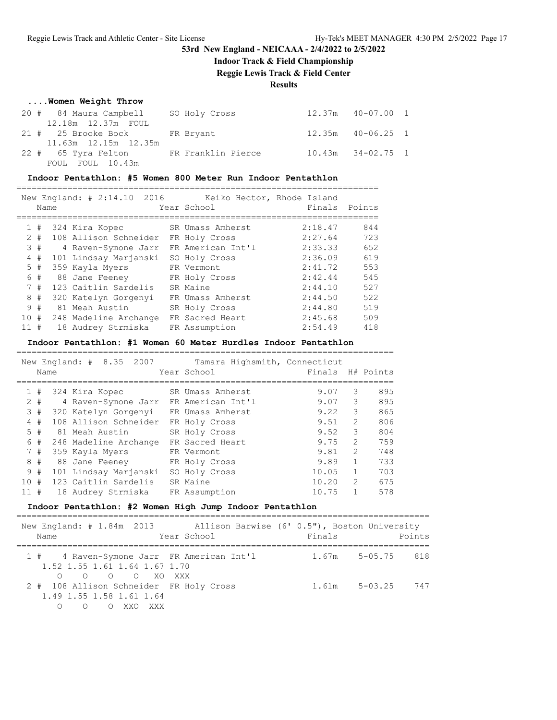### **Indoor Track & Field Championship**

**Reggie Lewis Track & Field Center**

**Results**

#### **....Women Weight Throw**

| 20 # 84 Maura Campbell SO Holy Cross   |  | $12.37m$ $40-07.00$ 1 |  |
|----------------------------------------|--|-----------------------|--|
| 12.18m  12.37m  FOUL                   |  |                       |  |
| 21 # 25 Brooke Bock FR Bryant          |  | 12.35m  40-06.25  1   |  |
| 11.63m 12.15m 12.35m                   |  |                       |  |
| 22 # 65 Tyra Felton FR Franklin Pierce |  | $10.43m$ $34-02.75$ 1 |  |
| FOUL FOUL 10.43m                       |  |                       |  |

#### **Indoor Pentathlon: #5 Women 800 Meter Run Indoor Pentathlon**

=======================================================================

|     |       | New England: # 2:14.10 2016 | Keiko Hector, Rhode Island |         |        |
|-----|-------|-----------------------------|----------------------------|---------|--------|
|     | Name  |                             | Year School                | Finals  | Points |
|     |       |                             |                            |         |        |
|     | 1#    | 324 Kira Kopec              | SR Umass Amherst           | 2:18.47 | 844    |
|     | $2 +$ | 108 Allison Schneider       | FR Holy Cross              | 2:27.64 | 723    |
|     | 3#    | 4 Raven-Symone Jarr         | FR American Int'l          | 2:33.33 | 652    |
|     | 4#    | 101 Lindsay Marjanski       | SO Holy Cross              | 2:36.09 | 619    |
|     | 5#    | 359 Kayla Myers             | FR Vermont                 | 2:41.72 | 553    |
|     | 6#    | 88 Jane Feenev              | FR Holy Cross              | 2:42.44 | 545    |
|     | 7#    | 123 Caitlin Sardelis        | SR Maine                   | 2:44.10 | 527    |
|     | 8#    | 320 Katelyn Gorgenyi        | FR Umass Amherst           | 2:44.50 | 522    |
|     | 9#    | 81 Meah Austin              | SR Holy Cross              | 2:44.80 | 519    |
| 10# |       | 248 Madeline Archange       | FR Sacred Heart            | 2:45.68 | 509    |
| 11# |       | 18 Audrey Strmiska          | FR Assumption              | 2:54.49 | 418    |

#### **Indoor Pentathlon: #1 Women 60 Meter Hurdles Indoor Pentathlon**

==========================================================================

|              |       | New England: # 8.35<br>2007 | Tamara Highsmith, Connecticut |        |                |           |
|--------------|-------|-----------------------------|-------------------------------|--------|----------------|-----------|
|              | Name  |                             | Year School                   | Finals |                | H# Points |
|              |       |                             |                               |        |                |           |
| $\mathbf{1}$ | #     | 324 Kira Kopec              | SR Umass Amherst              | 9.07   | 3              | 895       |
|              | $2 +$ | 4 Raven-Symone Jarr         | FR American Int'l             | 9.07   | 3              | 895       |
| 3            | #     | 320 Katelyn Gorgenyi        | FR Umass Amherst              | 9.22   | 3              | 865       |
| 4            | #     | 108 Allison Schneider       | FR Holy Cross                 | 9.51   | $\overline{2}$ | 806       |
| 5.           | #     | 81 Meah Austin              | SR Holy Cross                 | 9.52   | 3              | 804       |
| 6            | #     | 248 Madeline Archange       | FR Sacred Heart               | 9.75   | $\mathfrak{D}$ | 759       |
| 7            | #     | 359 Kayla Myers             | FR Vermont                    | 9.81   | $\mathfrak{L}$ | 748       |
| 8            | #     | 88 Jane Feeney              | FR Holy Cross                 | 9.89   | 1.             | 733       |
|              | 9#    | 101 Lindsay Marjanski       | SO Holy Cross                 | 10.05  |                | 703       |
| 10           | #     | 123 Caitlin Sardelis        | SR Maine                      | 10.20  | $\overline{2}$ | 675       |
| 11#          |       | 18 Audrey Strmiska          | FR Assumption                 | 10.75  |                | 578       |

#### **Indoor Pentathlon: #2 Women High Jump Indoor Pentathlon**

| Name                                            | New England: # 1.84m 2013 Allison Barwise (6' 0.5"), Boston University<br>Year School | Finals | Points                  |
|-------------------------------------------------|---------------------------------------------------------------------------------------|--------|-------------------------|
| 1.52 1.55 1.61 1.64 1.67 1.70<br>O O O O XO XXX | 1 # 4 Raven-Symone Jarr FR American Int'l                                             |        | 1.67m 5-05.75 818       |
| 1.49 1.55 1.58 1.61 1.64<br>OOXXOXXX            | 2 # 108 Allison Schneider FR Holy Cross                                               |        | $1.61m$ $5-03.25$ $747$ |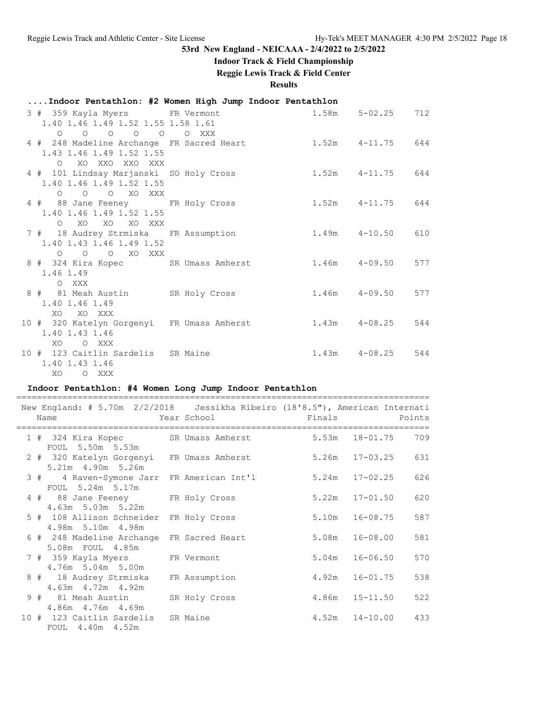### **Indoor Track & Field Championship**

### **Reggie Lewis Track & Field Center**

**Results**

### **....Indoor Pentathlon: #2 Women High Jump Indoor Pentathlon**

| 3 # 359 Kayla Myers FR Vermont<br>1.40 1.46 1.49 1.52 1.55 1.58 1.61                                         |                                                              | $1.58m$ $5-02.25$ 712   |  |
|--------------------------------------------------------------------------------------------------------------|--------------------------------------------------------------|-------------------------|--|
| 0 0 0 0 0 0 XXX<br>4 # 248 Madeline Archange FR Sacred Heart<br>1.43 1.46 1.49 1.52 1.55<br>O XO XXO XXO XXX |                                                              | $1.52m$ $4-11.75$ $644$ |  |
| 4 # 101 Lindsay Marjanski SO Holy Cross<br>1.40 1.46 1.49 1.52 1.55<br>O O O XO XXX                          | $1.52m$ $4-11.75$ $644$                                      |                         |  |
| 4 # 88 Jane Feeney FR Holy Cross<br>1.40 1.46 1.49 1.52 1.55                                                 | $1.52m$ $4-11.75$ 644                                        |                         |  |
| O XO XO XO XXX<br>7 # 18 Audrey Strmiska FR Assumption<br>1.40 1.43 1.46 1.49 1.52                           | $1.49m$ $4-10.50$ 610                                        |                         |  |
| O O O XO XXX<br>1.46 1.49                                                                                    | 8 # 324 Kira Kopec SR Umass Amherst 1.46m 4-09.50 577        |                         |  |
| O XXX<br>8 # 81 Meah Austin SR Holy Cross<br>1.40 1.46 1.49                                                  |                                                              | $1.46m$ $4-09.50$ 577   |  |
| XO XO XXX<br>1.40 1.43 1.46                                                                                  | 10 # 320 Katelyn Gorgenyi FR Umass Amherst 1.43m 4-08.25 544 |                         |  |
| XO OXXX<br>10 # 123 Caitlin Sardelis SR Maine<br>1.40 1.43 1.46<br>XO OXXX                                   |                                                              | $1.43m$ $4-08.25$ 544   |  |

### **Indoor Pentathlon: #4 Women Long Jump Indoor Pentathlon**

| New England: # 5.70m 2/2/2018   Jessikha Ribeiro (18'8.5"), American Internati |               |                          |                          |        |
|--------------------------------------------------------------------------------|---------------|--------------------------|--------------------------|--------|
| Year School (1996)<br>Name                                                     |               | <b>Example 19</b> Finals |                          | Points |
|                                                                                |               |                          |                          | 709    |
| 1 # 324 Kira Kopec SR Umass Amherst<br>FOUL 5.50m 5.53m                        |               |                          | 5.53m 18-01.75           |        |
| 2 # 320 Katelyn Gorgenyi FR Umass Amherst                                      |               |                          | 5.26m 17-03.25           | 631    |
| 5.21m 4.90m 5.26m                                                              |               |                          |                          |        |
| 3 # 4 Raven-Symone Jarr FR American Int'l                                      |               |                          | $5.24m$ $17-02.25$       | 626    |
| FOUL 5.24m 5.17m                                                               |               |                          |                          |        |
| 4 # 88 Jane Feeney FR Holy Cross                                               |               |                          | $5.22m$ $17-01.50$       | 620    |
| 4.63m 5.03m 5.22m                                                              |               |                          |                          |        |
| 5 # 108 Allison Schneider                                                      | FR Holy Cross | $5.10m$ $16-08.75$       |                          | 587    |
| 4.98m 5.10m 4.98m                                                              |               |                          |                          |        |
| 6 # 248 Madeline Archange FR Sacred Heart                                      |               |                          | 5.08m 16-08.00           | 581    |
| 5.08m FOUL 4.85m                                                               |               |                          |                          |        |
| 7 # 359 Kayla Myers FR Vermont                                                 |               |                          | $5.04m$ $16-06.50$       | 570    |
| 4.76m 5.04m 5.00m                                                              |               |                          |                          |        |
| 8 # 18 Audrey Strmiska                                                         | FR Assumption |                          | 4.92m 16-01.75           | 538    |
| 4.63m 4.72m 4.92m                                                              |               |                          |                          |        |
| 9 # 81 Meah Austin                                                             | SR Holy Cross |                          | $4.86m$ $15-11.50$       | 522    |
| 4.86m  4.76m  4.69m                                                            |               |                          |                          |        |
| 10 # 123 Caitlin Sardelis SR Maine                                             |               |                          | $4.52m$ $14-10.00$ $433$ |        |
| FOUL 4.40m 4.52m                                                               |               |                          |                          |        |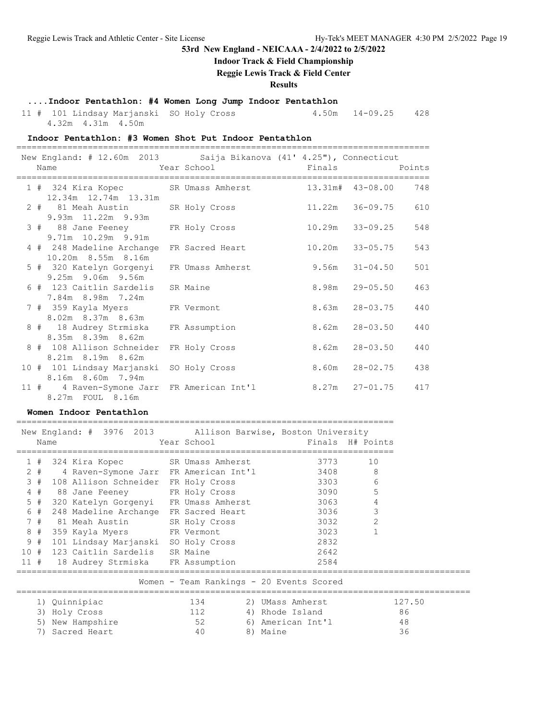### **Indoor Track & Field Championship**

**Reggie Lewis Track & Field Center**

### **Results**

### **....Indoor Pentathlon: #4 Women Long Jump Indoor Pentathlon**

11 # 101 Lindsay Marjanski SO Holy Cross 4.50m 14-09.25 428

4.32m 4.31m 4.50m

### **Indoor Pentathlon: #3 Women Shot Put Indoor Pentathlon**

| New England: # 12.60m 2013 Saija Bikanova (41' 4.25"), Connecticut<br>Name        | <b>Example 2</b> Year School <b>Example 2</b> School <b>Primals</b> Points |        |                            |
|-----------------------------------------------------------------------------------|----------------------------------------------------------------------------|--------|----------------------------|
|                                                                                   |                                                                            |        |                            |
| 1 # 324 Kira Kopec SR Umass Amherst<br>12.34m  12.74m  13.31m                     |                                                                            |        | 13.31m# 43-08.00 748       |
| 2 # 81 Meah Austin SR Holy Cross<br>9.93m 11.22m 9.93m                            |                                                                            |        | 11.22m 36-09.75<br>610     |
| 3 # 88 Jane Feeney FR Holy Cross<br>9.71m 10.29m 9.91m                            |                                                                            | 10.29m | 33-09.25<br>548            |
| 4 # 248 Madeline Archange FR Sacred Heart<br>10.20m 8.55m 8.16m                   |                                                                            |        | $10.20m$ $33-05.75$<br>543 |
| 5 # 320 Katelyn Gorgenyi FR Umass Amherst<br>9.25m 9.06m 9.56m                    |                                                                            |        | 501<br>$9.56m$ $31-04.50$  |
| 6 # 123 Caitlin Sardelis SR Maine<br>7.84m 8.98m 7.24m                            |                                                                            | 8.98m  | $29 - 05.50$<br>463        |
| 7 # 359 Kayla Myers FR Vermont<br>8.02m 8.37m 8.63m                               |                                                                            |        | 8.63m  28-03.75<br>440     |
| 8 # 18 Audrey Strmiska<br>8.35m 8.39m 8.62m                                       | FR Assumption                                                              |        | 8.62m  28-03.50<br>440     |
| 8 # 108 Allison Schneider<br>8.21m 8.19m 8.62m                                    | FR Holy Cross                                                              |        | 8.62m  28-03.50<br>440     |
| 10 # 101 Lindsay Marjanski<br>8.16m 8.60m 7.94m                                   | SO Holy Cross                                                              |        | 8.60m 28-02.75 438         |
| 11 # 4 Raven-Symone Jarr FR American Int'l 8.27m 27-01.75 417<br>8.27m FOUL 8.16m |                                                                            |        |                            |

### **Women Indoor Pentathlon**

|                                          | New England: # 3976 2013 Allison Barwise, Boston University<br>Name | Year School |          |                   | Finals H# Points |        |  |  |  |
|------------------------------------------|---------------------------------------------------------------------|-------------|----------|-------------------|------------------|--------|--|--|--|
| 1#                                       | 324 Kira Kopec SR Umass Amherst                                     |             |          | 3773              | 10               |        |  |  |  |
|                                          | 2 # 4 Raven-Symone Jarr FR American Int'l                           |             |          | 3408              | 8                |        |  |  |  |
| 3#                                       | 108 Allison Schneider FR Holy Cross                                 |             |          | 3303              | 6                |        |  |  |  |
| $4$ #                                    | 88 Jane Feeney FR Holy Cross                                        |             |          | 3090 300          | 5                |        |  |  |  |
| $5$ #                                    | 320 Katelyn Gorgenyi FR Umass Amherst                               |             |          | 3063 — 100        | 4                |        |  |  |  |
| 6#                                       | 248 Madeline Archange FR Sacred Heart                               |             |          | 3036 700          | 3                |        |  |  |  |
| 7#                                       | 81 Meah Austin SR Holy Cross                                        |             |          | 3032              | $\overline{2}$   |        |  |  |  |
| 8#                                       | 359 Kayla Myers FR Vermont                                          |             |          | 3023              |                  |        |  |  |  |
| 9#                                       | 101 Lindsay Marjanski SO Holy Cross                                 |             |          | 2832              |                  |        |  |  |  |
|                                          | 10 # 123 Caitlin Sardelis SR Maine                                  |             |          | 2642              |                  |        |  |  |  |
|                                          | 11 # 18 Audrey Strmiska FR Assumption                               |             |          | 2584              |                  |        |  |  |  |
| Women - Team Rankings - 20 Events Scored |                                                                     |             |          |                   |                  |        |  |  |  |
|                                          | 1) Quinnipiac                                                       | 134         |          | 2) UMass Amherst  |                  | 127.50 |  |  |  |
| 3)                                       | Holy Cross                                                          | 112         |          | 4) Rhode Island   |                  | 86     |  |  |  |
| 5)                                       | New Hampshire                                                       | 52          |          | 6) American Int'l |                  | 48     |  |  |  |
| 7)                                       | Sacred Heart                                                        | 40          | 8) Maine |                   |                  | 36     |  |  |  |